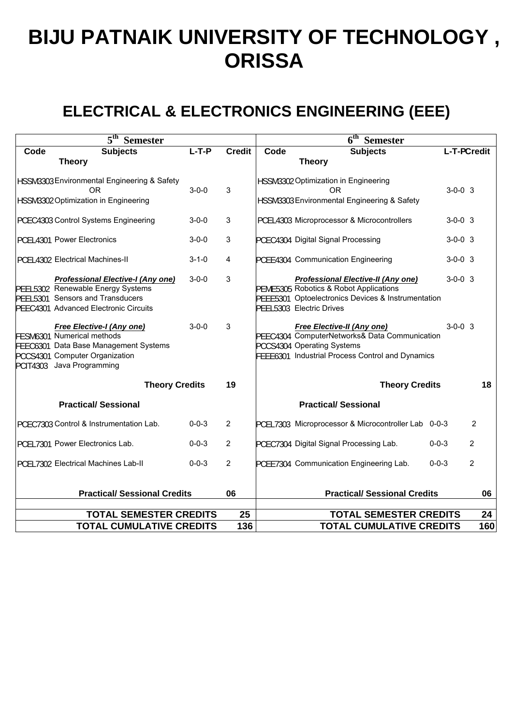# **BIJU PATNAIK UNIVERSITY OF TECHNOLOGY , ORISSA**

# **ELECTRICAL & ELECTRONICS ENGINEERING (EEE)**

| 5 <sup>th</sup><br><b>Semester</b> |                                                                                                                                                                        |             |                | 6 <sup>th</sup><br><b>Semester</b>  |                                                                                                                                                                       |                             |                |  |
|------------------------------------|------------------------------------------------------------------------------------------------------------------------------------------------------------------------|-------------|----------------|-------------------------------------|-----------------------------------------------------------------------------------------------------------------------------------------------------------------------|-----------------------------|----------------|--|
| Code                               | <b>Subjects</b><br><b>Theory</b>                                                                                                                                       | $L-T-P$     | <b>Credit</b>  | Code                                | <b>Subjects</b><br><b>Theory</b>                                                                                                                                      | L-T-PCredit                 |                |  |
|                                    | HSSM3303 Environmental Engineering & Safety<br>0 <sub>R</sub><br>HSSM3302 Optimization in Engineering                                                                  | $3 - 0 - 0$ | 3              |                                     | HSSM3302 Optimization in Engineering<br>0 <sub>R</sub><br>HSSM3303 Environmental Engineering & Safety                                                                 | $3 - 0 - 0$ 3               |                |  |
|                                    | PCEC4303 Control Systems Engineering                                                                                                                                   | $3 - 0 - 0$ | 3              |                                     | PCEL4303 Microprocessor & Microcontrollers                                                                                                                            | $3-0-0$ 3                   |                |  |
|                                    | PCEL4301 Power Electronics                                                                                                                                             | $3 - 0 - 0$ | 3              |                                     | PCEC4304 Digital Signal Processing                                                                                                                                    | $3-0-0$ 3                   |                |  |
|                                    | PCEL4302 Electrical Machines-II                                                                                                                                        | $3 - 1 - 0$ | 4              |                                     | PCEE4304 Communication Engineering                                                                                                                                    | $3-0-0$ 3                   |                |  |
|                                    | <b>Professional Elective-I (Any one)</b><br>PEEL5302 Renewable Energy Systems<br>PEEL5301 Sensors and Transducers<br>PEEC4301 Advanced Electronic Circuits             | $3 - 0 - 0$ | 3              |                                     | <b>Professional Elective-II (Any one)</b><br>PEME5305 Robotics & Robot Applications<br>PEEE5301 Optoelectronics Devices & Instrumentation<br>PEEL5303 Electric Drives | $3 - 0 - 0$ 3               |                |  |
|                                    | <b>Free Elective-I (Any one)</b><br>FESM6301 Numerical methods<br>FEEC6301 Data Base Management Systems<br>PCCS4301 Computer Organization<br>PCIT4303 Java Programming | $3 - 0 - 0$ | 3              |                                     | <b>Free Elective-II (Any one)</b><br>PEEC4304 ComputerNetworks& Data Communication<br>PCCS4304 Operating Systems<br>FEEE6301 Industrial Process Control and Dynamics  | $3-0-0$ 3                   |                |  |
| <b>Theory Credits</b>              |                                                                                                                                                                        |             | 19             |                                     |                                                                                                                                                                       | <b>Theory Credits</b><br>18 |                |  |
| <b>Practical/Sessional</b>         |                                                                                                                                                                        |             |                |                                     | <b>Practical/Sessional</b>                                                                                                                                            |                             |                |  |
|                                    | PCEC7303 Control & Instrumentation Lab.                                                                                                                                | $0 - 0 - 3$ | $\overline{2}$ |                                     | PCEL7303 Microprocessor & Microcontroller Lab 0-0-3                                                                                                                   |                             | $\overline{2}$ |  |
|                                    | PCEL7301 Power Electronics Lab.                                                                                                                                        | $0 - 0 - 3$ | $\overline{c}$ |                                     | PCEC7304 Digital Signal Processing Lab.                                                                                                                               | $0 - 0 - 3$                 | $\overline{2}$ |  |
|                                    | PCEL7302 Electrical Machines Lab-II                                                                                                                                    | $0 - 0 - 3$ | $\overline{2}$ |                                     | PCEE7304 Communication Engineering Lab.                                                                                                                               | $0 - 0 - 3$                 | $\overline{2}$ |  |
|                                    | <b>Practical/ Sessional Credits</b>                                                                                                                                    |             | 06             | <b>Practical/ Sessional Credits</b> |                                                                                                                                                                       |                             | 06             |  |
| <b>TOTAL SEMESTER CREDITS</b>      |                                                                                                                                                                        |             |                | <b>TOTAL SEMESTER CREDITS</b><br>24 |                                                                                                                                                                       |                             |                |  |
| <b>TOTAL CUMULATIVE CREDITS</b>    |                                                                                                                                                                        |             | 136            | <b>TOTAL CUMULATIVE CREDITS</b>     |                                                                                                                                                                       |                             | 160            |  |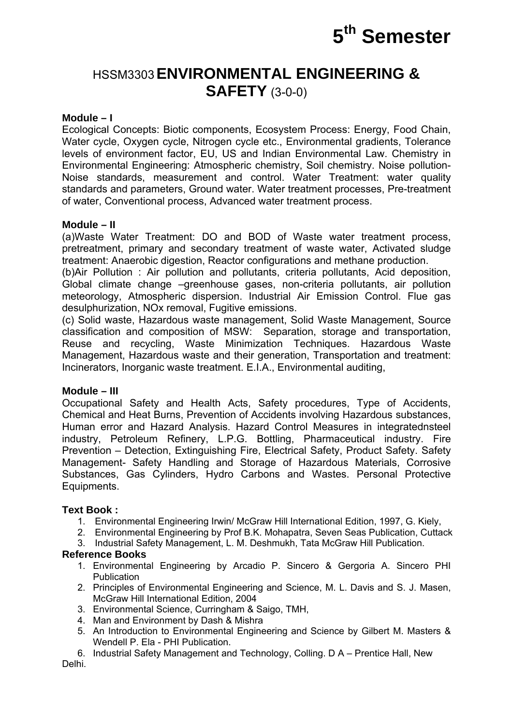

# HSSM3303**ENVIRONMENTAL ENGINEERING & SAFETY** (3-0-0)

### **Module – I**

Ecological Concepts: Biotic components, Ecosystem Process: Energy, Food Chain, Water cycle, Oxygen cycle, Nitrogen cycle etc., Environmental gradients, Tolerance levels of environment factor, EU, US and Indian Environmental Law. Chemistry in Environmental Engineering: Atmospheric chemistry, Soil chemistry. Noise pollution-Noise standards, measurement and control. Water Treatment: water quality standards and parameters, Ground water. Water treatment processes, Pre-treatment of water, Conventional process, Advanced water treatment process.

### **Module – II**

(a)Waste Water Treatment: DO and BOD of Waste water treatment process, pretreatment, primary and secondary treatment of waste water, Activated sludge treatment: Anaerobic digestion, Reactor configurations and methane production.

(b)Air Pollution : Air pollution and pollutants, criteria pollutants, Acid deposition, Global climate change –greenhouse gases, non-criteria pollutants, air pollution meteorology, Atmospheric dispersion. Industrial Air Emission Control. Flue gas desulphurization, NOx removal, Fugitive emissions.

(c) Solid waste, Hazardous waste management, Solid Waste Management, Source classification and composition of MSW: Separation, storage and transportation, Reuse and recycling, Waste Minimization Techniques. Hazardous Waste Management, Hazardous waste and their generation, Transportation and treatment: Incinerators, Inorganic waste treatment. E.I.A., Environmental auditing,

### **Module – III**

Occupational Safety and Health Acts, Safety procedures, Type of Accidents, Chemical and Heat Burns, Prevention of Accidents involving Hazardous substances, Human error and Hazard Analysis. Hazard Control Measures in integratednsteel industry, Petroleum Refinery, L.P.G. Bottling, Pharmaceutical industry. Fire Prevention – Detection, Extinguishing Fire, Electrical Safety, Product Safety. Safety Management- Safety Handling and Storage of Hazardous Materials, Corrosive Substances, Gas Cylinders, Hydro Carbons and Wastes. Personal Protective Equipments.

### **Text Book :**

- 1. Environmental Engineering Irwin/ McGraw Hill International Edition, 1997, G. Kiely,
- 2. Environmental Engineering by Prof B.K. Mohapatra, Seven Seas Publication, Cuttack
- 3. Industrial Safety Management, L. M. Deshmukh, Tata McGraw Hill Publication.

### **Reference Books**

- 1. Environmental Engineering by Arcadio P. Sincero & Gergoria A. Sincero PHI **Publication**
- 2. Principles of Environmental Engineering and Science, M. L. Davis and S. J. Masen, McGraw Hill International Edition, 2004
- 3. Environmental Science, Curringham & Saigo, TMH,
- 4. Man and Environment by Dash & Mishra
- 5. An Introduction to Environmental Engineering and Science by Gilbert M. Masters & Wendell P. Ela - PHI Publication.
- 6. Industrial Safety Management and Technology, Colling. D A Prentice Hall, New

Delhi.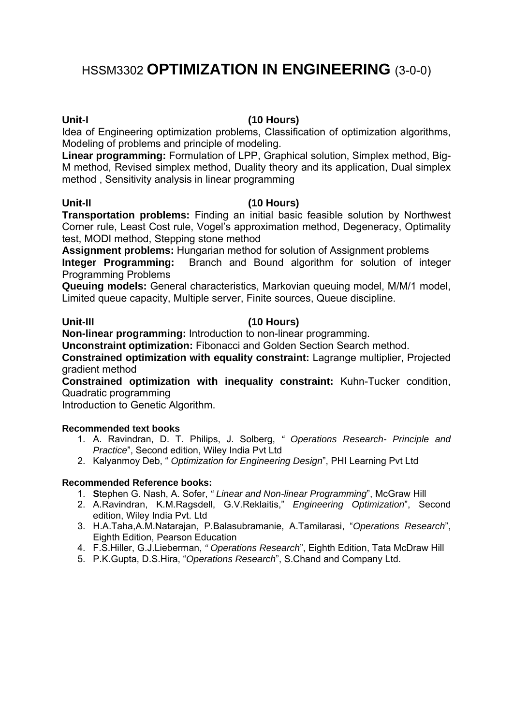# HSSM3302 **OPTIMIZATION IN ENGINEERING** (3-0-0)

# **Unit-I (10 Hours)**

Idea of Engineering optimization problems, Classification of optimization algorithms, Modeling of problems and principle of modeling.

**Linear programming:** Formulation of LPP, Graphical solution, Simplex method, Big-M method, Revised simplex method, Duality theory and its application, Dual simplex method , Sensitivity analysis in linear programming

### **Unit-II (10 Hours)**

**Transportation problems:** Finding an initial basic feasible solution by Northwest Corner rule, Least Cost rule, Vogel's approximation method, Degeneracy, Optimality test, MODI method, Stepping stone method

**Assignment problems:** Hungarian method for solution of Assignment problems

**Integer Programming:** Branch and Bound algorithm for solution of integer Programming Problems

**Queuing models:** General characteristics, Markovian queuing model, M/M/1 model, Limited queue capacity, Multiple server, Finite sources, Queue discipline.

### **Unit-III (10 Hours)**

**Non-linear programming:** Introduction to non-linear programming.

**Unconstraint optimization:** Fibonacci and Golden Section Search method.

**Constrained optimization with equality constraint:** Lagrange multiplier, Projected gradient method

**Constrained optimization with inequality constraint:** Kuhn-Tucker condition, Quadratic programming

Introduction to Genetic Algorithm.

### **Recommended text books**

- 1. A. Ravindran, D. T. Philips, J. Solberg, *" Operations Research- Principle and Practice*", Second edition, Wiley India Pvt Ltd
- 2. Kalyanmoy Deb, " *Optimization for Engineering Design*", PHI Learning Pvt Ltd

### **Recommended Reference books:**

- 1. **S**tephen G. Nash, A. Sofer, *" Linear and Non-linear Programming*", McGraw Hill
- 2. A.Ravindran, K.M.Ragsdell, G.V.Reklaitis," *Engineering Optimization*", Second edition, Wiley India Pvt. Ltd
- 3. H.A.Taha,A.M.Natarajan, P.Balasubramanie, A.Tamilarasi, "*Operations Research*", Eighth Edition, Pearson Education
- 4. F.S.Hiller, G.J.Lieberman, *" Operations Research*", Eighth Edition, Tata McDraw Hill
- 5. P.K.Gupta, D.S.Hira, "*Operations Research*", S.Chand and Company Ltd.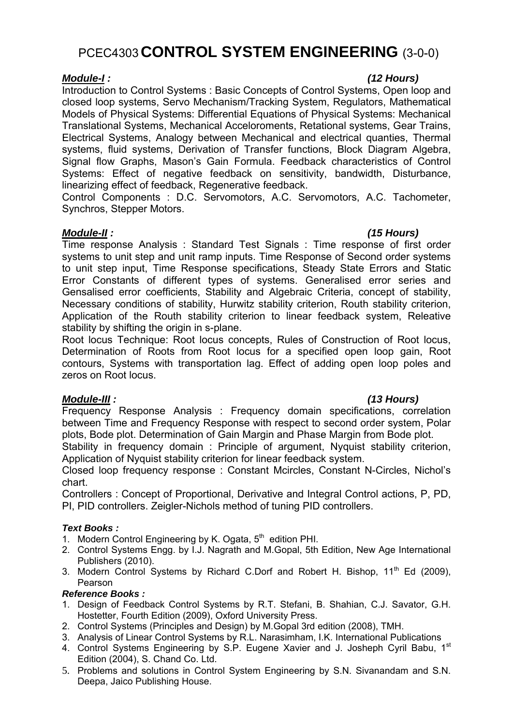# PCEC4303**CONTROL SYSTEM ENGINEERING** (3-0-0)

Introduction to Control Systems : Basic Concepts of Control Systems, Open loop and closed loop systems, Servo Mechanism/Tracking System, Regulators, Mathematical Models of Physical Systems: Differential Equations of Physical Systems: Mechanical Translational Systems, Mechanical Acceloroments, Retational systems, Gear Trains, Electrical Systems, Analogy between Mechanical and electrical quanties, Thermal systems, fluid systems, Derivation of Transfer functions, Block Diagram Algebra, Signal flow Graphs, Mason's Gain Formula. Feedback characteristics of Control Systems: Effect of negative feedback on sensitivity, bandwidth, Disturbance, linearizing effect of feedback, Regenerative feedback.

Control Components : D.C. Servomotors, A.C. Servomotors, A.C. Tachometer, Synchros, Stepper Motors.

# *Module-II : (15 Hours)*

Time response Analysis : Standard Test Signals : Time response of first order systems to unit step and unit ramp inputs. Time Response of Second order systems to unit step input, Time Response specifications, Steady State Errors and Static Error Constants of different types of systems. Generalised error series and Gensalised error coefficients, Stability and Algebraic Criteria, concept of stability, Necessary conditions of stability, Hurwitz stability criterion, Routh stability criterion, Application of the Routh stability criterion to linear feedback system, Releative stability by shifting the origin in s-plane.

Root locus Technique: Root locus concepts, Rules of Construction of Root locus, Determination of Roots from Root locus for a specified open loop gain, Root contours, Systems with transportation lag. Effect of adding open loop poles and zeros on Root locus.

# *Module-III : (13 Hours)*

Frequency Response Analysis : Frequency domain specifications, correlation between Time and Frequency Response with respect to second order system, Polar plots, Bode plot. Determination of Gain Margin and Phase Margin from Bode plot.

Stability in frequency domain : Principle of argument, Nyquist stability criterion, Application of Nyquist stability criterion for linear feedback system.

Closed loop frequency response : Constant Mcircles, Constant N-Circles, Nichol's chart.

Controllers : Concept of Proportional, Derivative and Integral Control actions, P, PD, PI, PID controllers. Zeigler-Nichols method of tuning PID controllers.

# *Text Books :*

- 1. Modern Control Engineering by K. Ogata, 5<sup>th</sup> edition PHI.
- 2. Control Systems Engg. by I.J. Nagrath and M.Gopal, 5th Edition, New Age International Publishers (2010).
- 3. Modern Control Systems by Richard C.Dorf and Robert H. Bishop,  $11<sup>th</sup>$  Ed (2009), Pearson

### *Reference Books :*

- 1. Design of Feedback Control Systems by R.T. Stefani, B. Shahian, C.J. Savator, G.H. Hostetter, Fourth Edition (2009), Oxford University Press.
- 2. Control Systems (Principles and Design) by M.Gopal 3rd edition (2008), TMH.
- 3. Analysis of Linear Control Systems by R.L. Narasimham, I.K. International Publications
- 4. Control Systems Engineering by S.P. Eugene Xavier and J. Josheph Cyril Babu, 1<sup>st</sup> Edition (2004), S. Chand Co. Ltd.
- 5. Problems and solutions in Control System Engineering by S.N. Sivanandam and S.N. Deepa, Jaico Publishing House.

# *Module-I : (12 Hours)*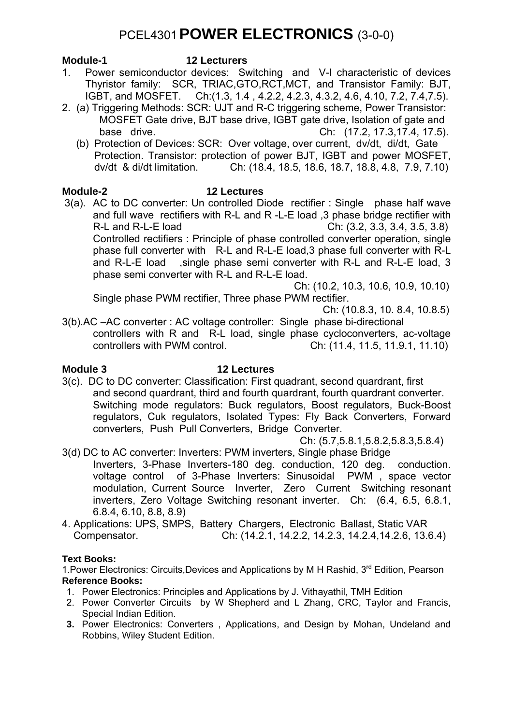# PCEL4301**POWER ELECTRONICS** (3-0-0)

### **Module-1 12 Lecturers**

- 1. Power semiconductor devices: Switching and V-I characteristic of devices Thyristor family: SCR, TRIAC,GTO,RCT,MCT, and Transistor Family: BJT, IGBT, and MOSFET. Ch:(1.3, 1.4 , 4.2.2, 4.2.3, 4.3.2, 4.6, 4.10, 7.2, 7.4,7.5).
- 2. (a) Triggering Methods: SCR: UJT and R-C triggering scheme, Power Transistor: MOSFET Gate drive, BJT base drive, IGBT gate drive, Isolation of gate and base drive. Ch: (17.2, 17.3,17.4, 17.5).
	- (b) Protection of Devices: SCR: Over voltage, over current, dv/dt, di/dt, Gate Protection. Transistor: protection of power BJT, IGBT and power MOSFET, dv/dt & di/dt limitation. Ch: (18.4, 18.5, 18.6, 18.7, 18.8, 4.8, 7.9, 7.10)

# **Module-2 12 Lectures**

3(a).AC to DC converter: Un controlled Diode rectifier : Single phase half wave and full wave rectifiers with R-L and R -L-E load ,3 phase bridge rectifier with R-L and R-L-E load Ch: (3.2, 3.3, 3.4, 3.5, 3.8) Controlled rectifiers : Principle of phase controlled converter operation, single phase full converter with R-L and R-L-E load,3 phase full converter with R-L and R-L-E load ,single phase semi converter with R-L and R-L-E load, 3 phase semi converter with R-L and R-L-E load.

 Ch: (10.2, 10.3, 10.6, 10.9, 10.10) Single phase PWM rectifier, Three phase PWM rectifier.

Ch: (10.8.3, 10. 8.4, 10.8.5)

3(b).AC –AC converter : AC voltage controller: Single phase bi-directional controllers with R and R-L load, single phase cycloconverters, ac-voltage controllers with PWM control. Ch: (11.4, 11.5, 11.9.1, 11.10)

# **Module 3 12 Lectures**

3(c). DC to DC converter: Classification: First quadrant, second quardrant, first and second quardrant, third and fourth quardrant, fourth quardrant converter. Switching mode regulators: Buck regulators, Boost regulators, Buck-Boost regulators, Cuk regulators, Isolated Types: Fly Back Converters, Forward converters, Push Pull Converters, Bridge Converter.

Ch: (5.7,5.8.1,5.8.2,5.8.3,5.8.4)

- 3(d) DC to AC converter: Inverters: PWM inverters, Single phase Bridge
	- Inverters, 3-Phase Inverters-180 deg. conduction, 120 deg. conduction. voltage control of 3-Phase Inverters: Sinusoidal PWM , space vector modulation, Current Source Inverter, Zero Current Switching resonant inverters, Zero Voltage Switching resonant inverter. Ch: (6.4, 6.5, 6.8.1, 6.8.4, 6.10, 8.8, 8.9)
- 4. Applications: UPS, SMPS, Battery Chargers, Electronic Ballast, Static VAR Compensator. Ch: (14.2.1, 14.2.2, 14.2.3, 14.2.4,14.2.6, 13.6.4)

# **Text Books:**

1. Power Electronics: Circuits, Devices and Applications by M H Rashid, 3<sup>rd</sup> Edition, Pearson **Reference Books:** 

- 1. Power Electronics: Principles and Applications by J. Vithayathil, TMH Edition
- 2. Power Converter Circuits by W Shepherd and L Zhang, CRC, Taylor and Francis, Special Indian Edition.
- **3.** Power Electronics: Converters , Applications, and Design by Mohan, Undeland and Robbins, Wiley Student Edition.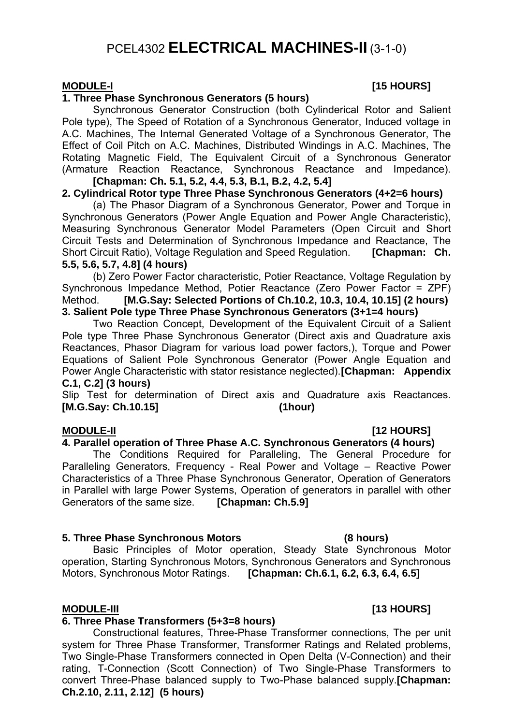# PCEL4302 **ELECTRICAL MACHINES-II** (3-1-0)

## **1. Three Phase Synchronous Generators (5 hours)**

Synchronous Generator Construction (both Cylinderical Rotor and Salient Pole type), The Speed of Rotation of a Synchronous Generator, Induced voltage in A.C. Machines, The Internal Generated Voltage of a Synchronous Generator, The Effect of Coil Pitch on A.C. Machines, Distributed Windings in A.C. Machines, The Rotating Magnetic Field, The Equivalent Circuit of a Synchronous Generator (Armature Reaction Reactance, Synchronous Reactance and Impedance). **[Chapman: Ch. 5.1, 5.2, 4.4, 5.3, B.1, B.2, 4.2, 5.4]** 

# **2. Cylindrical Rotor type Three Phase Synchronous Generators (4+2=6 hours)**

 (a) The Phasor Diagram of a Synchronous Generator, Power and Torque in Synchronous Generators (Power Angle Equation and Power Angle Characteristic), Measuring Synchronous Generator Model Parameters (Open Circuit and Short Circuit Tests and Determination of Synchronous Impedance and Reactance, The Short Circuit Ratio), Voltage Regulation and Speed Regulation. **[Chapman: Ch. 5.5, 5.6, 5.7, 4.8] (4 hours)**

(b) Zero Power Factor characteristic, Potier Reactance, Voltage Regulation by Synchronous Impedance Method, Potier Reactance (Zero Power Factor = ZPF) Method. **[M.G.Say: Selected Portions of Ch.10.2, 10.3, 10.4, 10.15] (2 hours) 3. Salient Pole type Three Phase Synchronous Generators (3+1=4 hours)** 

Two Reaction Concept, Development of the Equivalent Circuit of a Salient Pole type Three Phase Synchronous Generator (Direct axis and Quadrature axis Reactances, Phasor Diagram for various load power factors,), Torque and Power Equations of Salient Pole Synchronous Generator (Power Angle Equation and Power Angle Characteristic with stator resistance neglected). **[Chapman: Appendix C.1, C.2] (3 hours)**

Slip Test for determination of Direct axis and Quadrature axis Reactances. **[M.G.Say: Ch.10.15] (1hour)**

# **4. Parallel operation of Three Phase A.C. Synchronous Generators (4 hours)**

The Conditions Required for Paralleling, The General Procedure for Paralleling Generators, Frequency - Real Power and Voltage – Reactive Power Characteristics of a Three Phase Synchronous Generator, Operation of Generators in Parallel with large Power Systems, Operation of generators in parallel with other Generators of the same size. [Chapman: Ch.5.9] Generators of the same size.

### **5. Three Phase Synchronous Motors (8 hours)**

Basic Principles of Motor operation, Steady State Synchronous Motor operation, Starting Synchronous Motors, Synchronous Generators and Synchronous Motors, Synchronous Motor Ratings. **[Chapman: Ch.6.1, 6.2, 6.3, 6.4, 6.5]**

# **6. Three Phase Transformers (5+3=8 hours)**

Constructional features, Three-Phase Transformer connections, The per unit system for Three Phase Transformer, Transformer Ratings and Related problems, Two Single-Phase Transformers connected in Open Delta (V-Connection) and their rating, T-Connection (Scott Connection) of Two Single-Phase Transformers to convert Three-Phase balanced supply to Two-Phase balanced supply.**[Chapman: Ch.2.10, 2.11, 2.12] (5 hours)** 

# **MODULE-I** [15 HOURS]

# **MODULE-II** [12 HOURS]

# MODULE-III **MODULE-III 13 HOURS**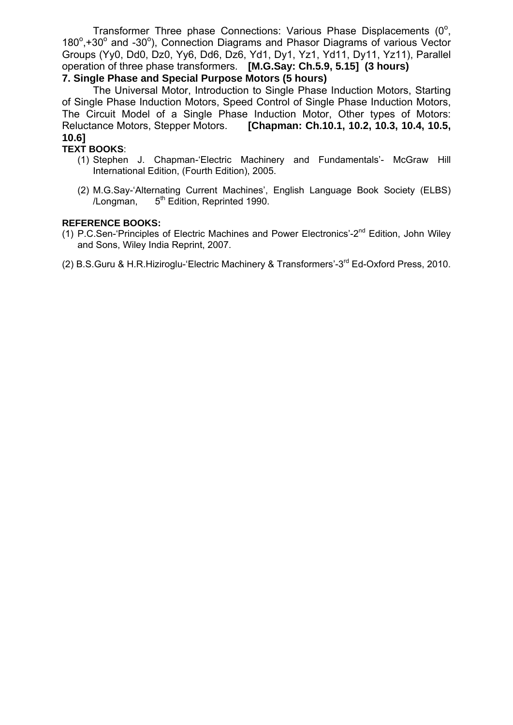Transformer Three phase Connections: Various Phase Displacements  $(0^{\circ})$ , 180°,+30° and -30°), Connection Diagrams and Phasor Diagrams of various Vector Groups (Yy0, Dd0, Dz0, Yy6, Dd6, Dz6, Yd1, Dy1, Yz1, Yd11, Dy11, Yz11), Parallel operation of three phase transformers. **[M.G.Say: Ch.5.9, 5.15] (3 hours) 7. Single Phase and Special Purpose Motors (5 hours)** 

The Universal Motor, Introduction to Single Phase Induction Motors, Starting of Single Phase Induction Motors, Speed Control of Single Phase Induction Motors, The Circuit Model of a Single Phase Induction Motor, Other types of Motors: Reluctance Motors, Stepper Motors. **[Chapman: Ch.10.1, 10.2, 10.3, 10.4, 10.5, 10.6]**

# **TEXT BOOKS**:

- (1) Stephen J. Chapman-'Electric Machinery and Fundamentals'- McGraw Hill International Edition, (Fourth Edition), 2005.
- (2) M.G.Say-'Alternating Current Machines', English Language Book Society (ELBS) /Longman,  $5<sup>th</sup>$  Edition, Reprinted 1990.

### **REFERENCE BOOKS:**

- (1) P.C.Sen-'Principles of Electric Machines and Power Electronics'-2nd Edition, John Wiley and Sons, Wiley India Reprint, 2007.
- (2) B.S.Guru & H.R.Hiziroglu-'Electric Machinery & Transformers'-3rd Ed-Oxford Press, 2010.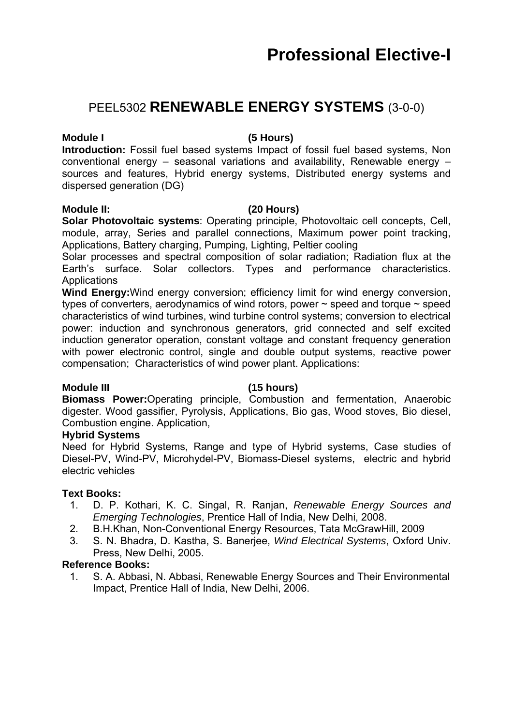# PEEL5302 **RENEWABLE ENERGY SYSTEMS** (3-0-0)

# **Module I (5 Hours)**

**Introduction:** Fossil fuel based systems Impact of fossil fuel based systems, Non conventional energy – seasonal variations and availability, Renewable energy – sources and features, Hybrid energy systems, Distributed energy systems and dispersed generation (DG)

### **Module II: (20 Hours)**

**Solar Photovoltaic systems**: Operating principle, Photovoltaic cell concepts, Cell, module, array, Series and parallel connections, Maximum power point tracking, Applications, Battery charging, Pumping, Lighting, Peltier cooling

Solar processes and spectral composition of solar radiation; Radiation flux at the Earth's surface. Solar collectors. Types and performance characteristics. **Applications** 

**Wind Energy:**Wind energy conversion; efficiency limit for wind energy conversion, types of converters, aerodynamics of wind rotors, power  $\sim$  speed and torque  $\sim$  speed characteristics of wind turbines, wind turbine control systems; conversion to electrical power: induction and synchronous generators, grid connected and self excited induction generator operation, constant voltage and constant frequency generation with power electronic control, single and double output systems, reactive power compensation; Characteristics of wind power plant. Applications:

# **Module III (15 hours)**

**Biomass Power:**Operating principle, Combustion and fermentation, Anaerobic digester. Wood gassifier, Pyrolysis, Applications, Bio gas, Wood stoves, Bio diesel, Combustion engine. Application,

# **Hybrid Systems**

Need for Hybrid Systems, Range and type of Hybrid systems, Case studies of Diesel-PV, Wind-PV, Microhydel-PV, Biomass-Diesel systems, electric and hybrid electric vehicles

# **Text Books:**

- 1. D. P. Kothari, K. C. Singal, R. Ranjan, *Renewable Energy Sources and Emerging Technologies*, Prentice Hall of India, New Delhi, 2008.
- 2. B.H.Khan, Non-Conventional Energy Resources, Tata McGrawHill, 2009
- 3. S. N. Bhadra, D. Kastha, S. Banerjee, *Wind Electrical Systems*, Oxford Univ. Press, New Delhi, 2005.

# **Reference Books:**

1. S. A. Abbasi, N. Abbasi, Renewable Energy Sources and Their Environmental Impact, Prentice Hall of India, New Delhi, 2006.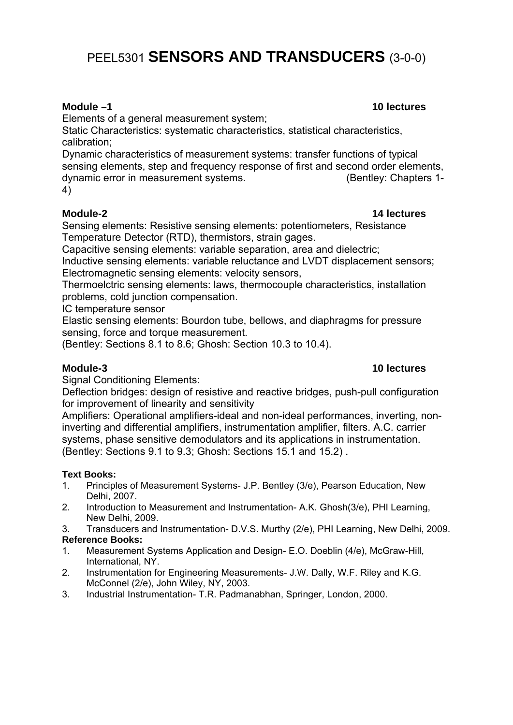# PEEL5301 **SENSORS AND TRANSDUCERS** (3-0-0)

Elements of a general measurement system;

Static Characteristics: systematic characteristics, statistical characteristics, calibration;

Dynamic characteristics of measurement systems: transfer functions of typical sensing elements, step and frequency response of first and second order elements, dynamic error in measurement systems. (Bentley: Chapters 1- 4)

# **Module-2 14 lectures**

Sensing elements: Resistive sensing elements: potentiometers, Resistance Temperature Detector (RTD), thermistors, strain gages.

Capacitive sensing elements: variable separation, area and dielectric;

Inductive sensing elements: variable reluctance and LVDT displacement sensors; Electromagnetic sensing elements: velocity sensors,

Thermoelctric sensing elements: laws, thermocouple characteristics, installation problems, cold junction compensation.

IC temperature sensor

Elastic sensing elements: Bourdon tube, bellows, and diaphragms for pressure sensing, force and torque measurement.

(Bentley: Sections 8.1 to 8.6; Ghosh: Section 10.3 to 10.4).

#### **Module-3 10 lectures**

Signal Conditioning Elements:

Deflection bridges: design of resistive and reactive bridges, push-pull configuration for improvement of linearity and sensitivity

Amplifiers: Operational amplifiers-ideal and non-ideal performances, inverting, noninverting and differential amplifiers, instrumentation amplifier, filters. A.C. carrier systems, phase sensitive demodulators and its applications in instrumentation. (Bentley: Sections 9.1 to 9.3; Ghosh: Sections 15.1 and 15.2) .

# **Text Books:**

- 1. Principles of Measurement Systems- J.P. Bentley (3/e), Pearson Education, New Delhi, 2007.
- 2. Introduction to Measurement and Instrumentation- A.K. Ghosh(3/e), PHI Learning, New Delhi, 2009.
- 3. Transducers and Instrumentation- D.V.S. Murthy (2/e), PHI Learning, New Delhi, 2009.

# **Reference Books:**

- 1. Measurement Systems Application and Design- E.O. Doeblin (4/e), McGraw-Hill, International, NY.
- 2. Instrumentation for Engineering Measurements- J.W. Dally, W.F. Riley and K.G. McConnel (2/e), John Wiley, NY, 2003.
- 3. Industrial Instrumentation- T.R. Padmanabhan, Springer, London, 2000.

## **Module –1 10 lectures**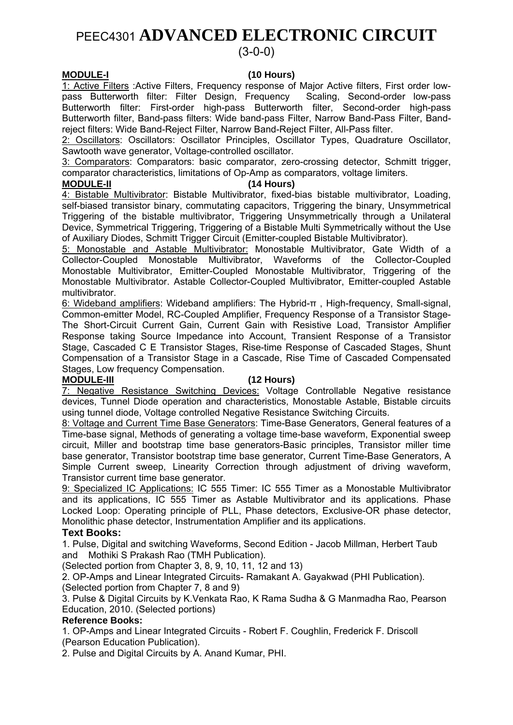# PEEC4301 **ADVANCED ELECTRONIC CIRCUIT**

# (3-0-0)

### **MODULE-I (10 Hours)**

1: Active Filters :Active Filters, Frequency response of Major Active filters, First order lowpass Butterworth filter: Filter Design, Frequency Scaling, Second-order low-pass Butterworth filter: First-order high-pass Butterworth filter, Second-order high-pass Butterworth filter, Band-pass filters: Wide band-pass Filter, Narrow Band-Pass Filter, Bandreject filters: Wide Band-Reject Filter, Narrow Band-Reject Filter, All-Pass filter.

2: Oscillators: Oscillators: Oscillator Principles, Oscillator Types, Quadrature Oscillator, Sawtooth wave generator, Voltage-controlled oscillator.

3: Comparators: Comparators: basic comparator, zero-crossing detector, Schmitt trigger, comparator characteristics, limitations of Op-Amp as comparators, voltage limiters.

### **MODULE-II (14 Hours)**

4: Bistable Multivibrator: Bistable Multivibrator, fixed-bias bistable multivibrator, Loading, self-biased transistor binary, commutating capacitors, Triggering the binary, Unsymmetrical Triggering of the bistable multivibrator, Triggering Unsymmetrically through a Unilateral Device, Symmetrical Triggering, Triggering of a Bistable Multi Symmetrically without the Use of Auxiliary Diodes, Schmitt Trigger Circuit (Emitter-coupled Bistable Multivibrator).

5: Monostable and Astable Multivibrator: Monostable Multivibrator, Gate Width of a Collector-Coupled Monostable Multivibrator, Waveforms of the Collector-Coupled Monostable Multivibrator, Emitter-Coupled Monostable Multivibrator, Triggering of the Monostable Multivibrator. Astable Collector-Coupled Multivibrator, Emitter-coupled Astable multivibrator.

6: Wideband amplifiers: Wideband amplifiers: The Hybrid-π , High-frequency, Small-signal, Common-emitter Model, RC-Coupled Amplifier, Frequency Response of a Transistor Stage-The Short-Circuit Current Gain, Current Gain with Resistive Load, Transistor Amplifier Response taking Source Impedance into Account, Transient Response of a Transistor Stage, Cascaded C E Transistor Stages, Rise-time Response of Cascaded Stages, Shunt Compensation of a Transistor Stage in a Cascade, Rise Time of Cascaded Compensated Stages, Low frequency Compensation.

#### **MODULE-III (12 Hours)**

7: Negative Resistance Switching Devices: Voltage Controllable Negative resistance devices, Tunnel Diode operation and characteristics, Monostable Astable, Bistable circuits using tunnel diode, Voltage controlled Negative Resistance Switching Circuits.

8: Voltage and Current Time Base Generators: Time-Base Generators, General features of a Time-base signal, Methods of generating a voltage time-base waveform, Exponential sweep circuit, Miller and bootstrap time base generators-Basic principles, Transistor miller time base generator, Transistor bootstrap time base generator, Current Time-Base Generators, A Simple Current sweep, Linearity Correction through adjustment of driving waveform, Transistor current time base generator.

9: Specialized IC Applications: IC 555 Timer: IC 555 Timer as a Monostable Multivibrator and its applications, IC 555 Timer as Astable Multivibrator and its applications. Phase Locked Loop: Operating principle of PLL, Phase detectors, Exclusive-OR phase detector, Monolithic phase detector, Instrumentation Amplifier and its applications.

### **Text Books:**

1. Pulse, Digital and switching Waveforms, Second Edition - Jacob Millman, Herbert Taub and Mothiki S Prakash Rao (TMH Publication).

(Selected portion from Chapter 3, 8, 9, 10, 11, 12 and 13)

2. OP-Amps and Linear Integrated Circuits- Ramakant A. Gayakwad (PHI Publication). (Selected portion from Chapter 7, 8 and 9)

3. Pulse & Digital Circuits by K.Venkata Rao, K Rama Sudha & G Manmadha Rao, Pearson Education, 2010. (Selected portions)

### **Reference Books:**

1. OP-Amps and Linear Integrated Circuits - Robert F. Coughlin, Frederick F. Driscoll (Pearson Education Publication).

2. Pulse and Digital Circuits by A. Anand Kumar, PHI.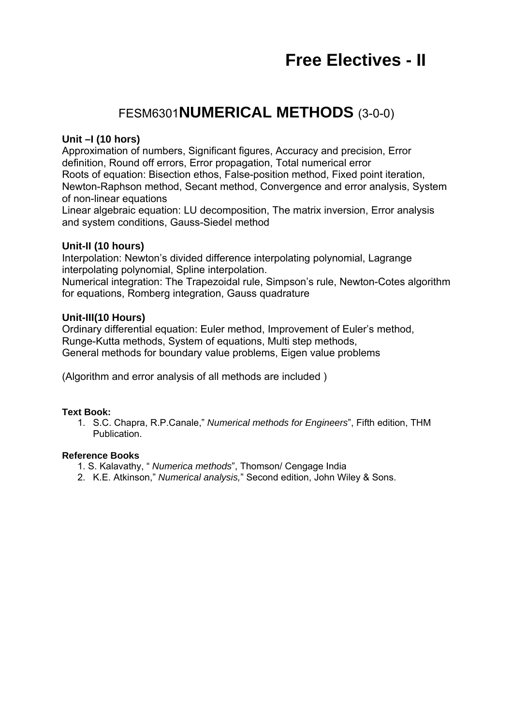# FESM6301**NUMERICAL METHODS** (3-0-0)

# **Unit –I (10 hors)**

Approximation of numbers, Significant figures, Accuracy and precision, Error definition, Round off errors, Error propagation, Total numerical error Roots of equation: Bisection ethos, False-position method, Fixed point iteration, Newton-Raphson method, Secant method, Convergence and error analysis, System of non-linear equations

Linear algebraic equation: LU decomposition, The matrix inversion, Error analysis and system conditions, Gauss-Siedel method

# **Unit-II (10 hours)**

Interpolation: Newton's divided difference interpolating polynomial, Lagrange interpolating polynomial, Spline interpolation.

Numerical integration: The Trapezoidal rule, Simpson's rule, Newton-Cotes algorithm for equations, Romberg integration, Gauss quadrature

### **Unit-III(10 Hours)**

Ordinary differential equation: Euler method, Improvement of Euler's method, Runge-Kutta methods, System of equations, Multi step methods, General methods for boundary value problems, Eigen value problems

(Algorithm and error analysis of all methods are included )

### **Text Book:**

1. S.C. Chapra, R.P.Canale," *Numerical methods for Engineers*", Fifth edition, THM Publication.

### **Reference Books**

- 1. S. Kalavathy, " *Numerica methods*", Thomson/ Cengage India
- 2. K.E. Atkinson," *Numerical analysis,*" Second edition, John Wiley & Sons.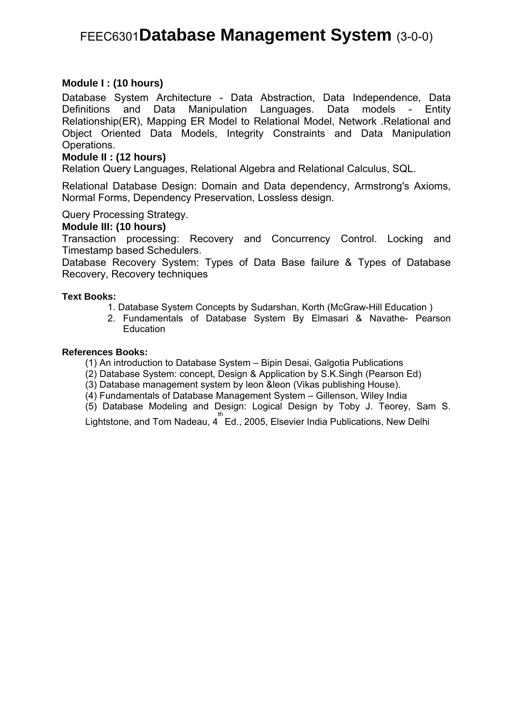# FEEC6301**Database Management System** (3-0-0)

### **Module I : (10 hours)**

Database System Architecture - Data Abstraction, Data Independence, Data Definitions and Data Manipulation Languages. Data models - Entity Relationship(ER), Mapping ER Model to Relational Model, Network .Relational and Object Oriented Data Models, Integrity Constraints and Data Manipulation Operations.

### **Module II : (12 hours)**

Relation Query Languages, Relational Algebra and Relational Calculus, SQL.

Relational Database Design: Domain and Data dependency, Armstrong's Axioms, Normal Forms, Dependency Preservation, Lossless design.

Query Processing Strategy.

### **Module III: (10 hours)**

Transaction processing: Recovery and Concurrency Control. Locking and Timestamp based Schedulers.

Database Recovery System: Types of Data Base failure & Types of Database Recovery, Recovery techniques

#### **Text Books:**

- 1. Database System Concepts by Sudarshan, Korth (McGraw-Hill Education )
- 2. Fundamentals of Database System By Elmasari & Navathe- Pearson **Education**

#### **References Books:**

(1) An introduction to Database System – Bipin Desai, Galgotia Publications

- (2) Database System: concept, Design & Application by S.K.Singh (Pearson Ed)
- (3) Database management system by leon &leon (Vikas publishing House).
- (4) Fundamentals of Database Management System Gillenson, Wiley India
- (5) Database Modeling and Design: Logical Design by Toby J. Teorey, Sam S.

Lightstone, and Tom Nadeau, 4<sup>th</sup> Ed., 2005, Elsevier India Publications, New Delhi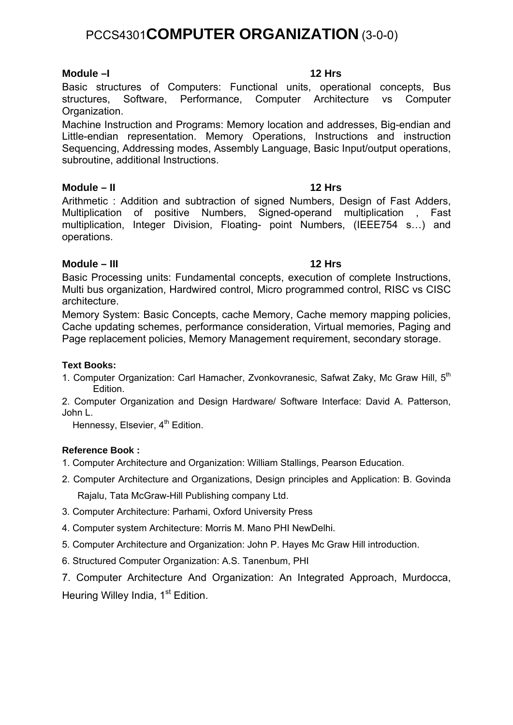# PCCS4301**COMPUTER ORGANIZATION** (3-0-0)

# **Module –I 12 Hrs**

Basic structures of Computers: Functional units, operational concepts, Bus structures, Software, Performance, Computer Architecture vs Computer Organization.

Machine Instruction and Programs: Memory location and addresses, Big-endian and Little-endian representation. Memory Operations, Instructions and instruction Sequencing, Addressing modes, Assembly Language, Basic Input/output operations, subroutine, additional Instructions.

### **Module – II 12 Hrs**

Arithmetic : Addition and subtraction of signed Numbers, Design of Fast Adders, Multiplication of positive Numbers, Signed-operand multiplication , Fast multiplication, Integer Division, Floating- point Numbers, (IEEE754 s…) and operations.

# **Module – III 12 Hrs**

Basic Processing units: Fundamental concepts, execution of complete Instructions, Multi bus organization, Hardwired control, Micro programmed control, RISC vs CISC architecture.

Memory System: Basic Concepts, cache Memory, Cache memory mapping policies, Cache updating schemes, performance consideration, Virtual memories, Paging and Page replacement policies, Memory Management requirement, secondary storage.

### **Text Books:**

1. Computer Organization: Carl Hamacher, Zvonkovranesic, Safwat Zaky, Mc Graw Hill, 5<sup>th</sup> Edition.

2. Computer Organization and Design Hardware/ Software Interface: David A. Patterson, John L.

Hennessy, Elsevier, 4<sup>th</sup> Edition.

# **Reference Book :**

- 1. Computer Architecture and Organization: William Stallings, Pearson Education.
- 2. Computer Architecture and Organizations, Design principles and Application: B. Govinda Rajalu, Tata McGraw-Hill Publishing company Ltd.
- 3. Computer Architecture: Parhami, Oxford University Press
- 4. Computer system Architecture: Morris M. Mano PHI NewDelhi.
- 5. Computer Architecture and Organization: John P. Hayes Mc Graw Hill introduction.
- 6. Structured Computer Organization: A.S. Tanenbum, PHI
- 7. Computer Architecture And Organization: An Integrated Approach, Murdocca, Heuring Willey India, 1<sup>st</sup> Edition.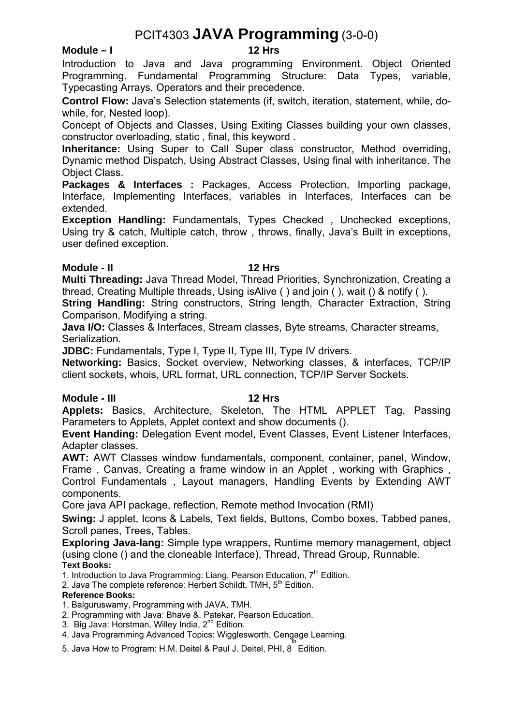# PCIT4303 **JAVA Programming** (3-0-0)

### Module – I

Introduction to Java and Java programming Environment. Object Oriented Programming. Fundamental Programming Structure: Data Types, variable, Typecasting Arrays, Operators and their precedence.

**Control Flow:** Java's Selection statements (if, switch, iteration, statement, while, dowhile, for, Nested loop).

Concept of Objects and Classes, Using Exiting Classes building your own classes, constructor overloading, static , final, this keyword .

**Inheritance:** Using Super to Call Super class constructor, Method overriding, Dynamic method Dispatch, Using Abstract Classes, Using final with inheritance. The Object Class.

**Packages & Interfaces :** Packages, Access Protection, Importing package, Interface, Implementing Interfaces, variables in Interfaces, Interfaces can be extended.

**Exception Handling:** Fundamentals, Types Checked, Unchecked exceptions, Using try & catch, Multiple catch, throw , throws, finally, Java's Built in exceptions, user defined exception.

### **Module - II** 12 Hrs

**Multi Threading:** Java Thread Model, Thread Priorities, Synchronization, Creating a thread, Creating Multiple threads, Using isAlive ( ) and join ( ), wait () & notify ( ).

**String Handling:** String constructors, String length, Character Extraction, String Comparison, Modifying a string.

**Java I/O:** Classes & Interfaces, Stream classes, Byte streams, Character streams, Serialization.

**JDBC:** Fundamentals, Type I, Type II, Type III, Type IV drivers.

**Networking:** Basics, Socket overview, Networking classes, & interfaces, TCP/IP client sockets, whois, URL format, URL connection, TCP/IP Server Sockets.

### **Module - III** 12 Hrs

**Applets:** Basics, Architecture, Skeleton, The HTML APPLET Tag, Passing Parameters to Applets, Applet context and show documents ().

**Event Handing:** Delegation Event model, Event Classes, Event Listener Interfaces, Adapter classes.

**AWT:** AWT Classes window fundamentals, component, container, panel, Window, Frame , Canvas, Creating a frame window in an Applet , working with Graphics , Control Fundamentals , Layout managers, Handling Events by Extending AWT components.

Core java API package, reflection, Remote method Invocation (RMI)

**Swing:** J applet, Icons & Labels, Text fields, Buttons, Combo boxes, Tabbed panes, Scroll panes, Trees, Tables.

**Exploring Java-lang:** Simple type wrappers, Runtime memory management, object (using clone () and the cloneable Interface), Thread, Thread Group, Runnable. **Text Books:** 

1. Introduction to Java Programming: Liang, Pearson Education,  $7<sup>th</sup>$  Edition.

2. Java The complete reference: Herbert Schildt, TMH, 5<sup>th</sup> Edition.

### **Reference Books:**

1. Balguruswamy, Programming with JAVA, TMH.

2. Programming with Java*:* Bhave &. Patekar, Pearson Education.

3. Big Java: Horstman, Willey India, 2<sup>nd</sup> Edition.

4. Java Programming Advanced Topics: Wigglesworth, Cengage Learning.<br>"

5. Java How to Program: H.M. Deitel & Paul J. Deitel, PHI, 8 Edition.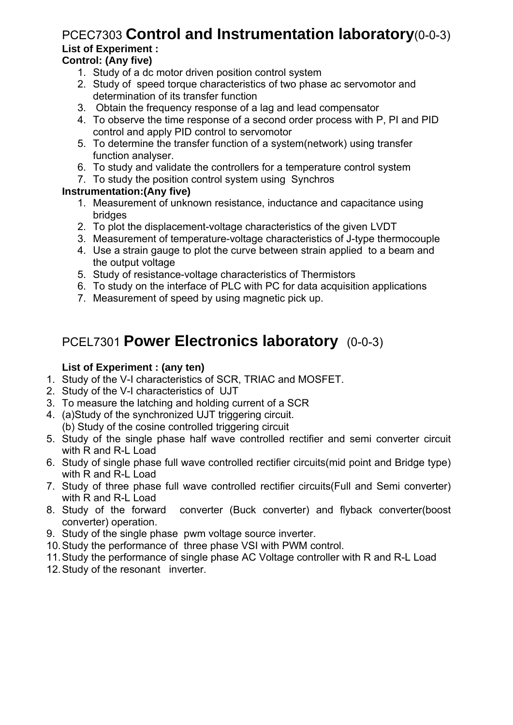# PCEC7303 **Control and Instrumentation laboratory**(0-0-3) **List of Experiment :**

# **Control: (Any five)**

- 1. Study of a dc motor driven position control system
- 2. Study of speed torque characteristics of two phase ac servomotor and determination of its transfer function
- 3. Obtain the frequency response of a lag and lead compensator
- 4. To observe the time response of a second order process with P, PI and PID control and apply PID control to servomotor
- 5. To determine the transfer function of a system(network) using transfer function analyser.
- 6. To study and validate the controllers for a temperature control system
- 7. To study the position control system using Synchros

# **Instrumentation:(Any five)**

- 1. Measurement of unknown resistance, inductance and capacitance using bridges
- 2. To plot the displacement-voltage characteristics of the given LVDT
- 3. Measurement of temperature-voltage characteristics of J-type thermocouple
- 4. Use a strain gauge to plot the curve between strain applied to a beam and the output voltage
- 5. Study of resistance-voltage characteristics of Thermistors
- 6. To study on the interface of PLC with PC for data acquisition applications
- 7. Measurement of speed by using magnetic pick up.

# PCEL7301 **Power Electronics laboratory** (0-0-3)

# **List of Experiment : (any ten)**

- 1. Study of the V-I characteristics of SCR, TRIAC and MOSFET.
- 2. Study of the V-I characteristics of UJT
- 3. To measure the latching and holding current of a SCR
- 4. (a)Study of the synchronized UJT triggering circuit. (b) Study of the cosine controlled triggering circuit
- 5. Study of the single phase half wave controlled rectifier and semi converter circuit with R and R-L Load
- 6. Study of single phase full wave controlled rectifier circuits(mid point and Bridge type) with R and R-L Load
- 7. Study of three phase full wave controlled rectifier circuits(Full and Semi converter) with R and R-L Load
- 8. Study of the forward converter (Buck converter) and flyback converter(boost converter) operation.
- 9. Study of the single phase pwm voltage source inverter.
- 10. Study the performance of three phase VSI with PWM control.
- 11. Study the performance of single phase AC Voltage controller with R and R-L Load
- 12. Study of the resonant inverter.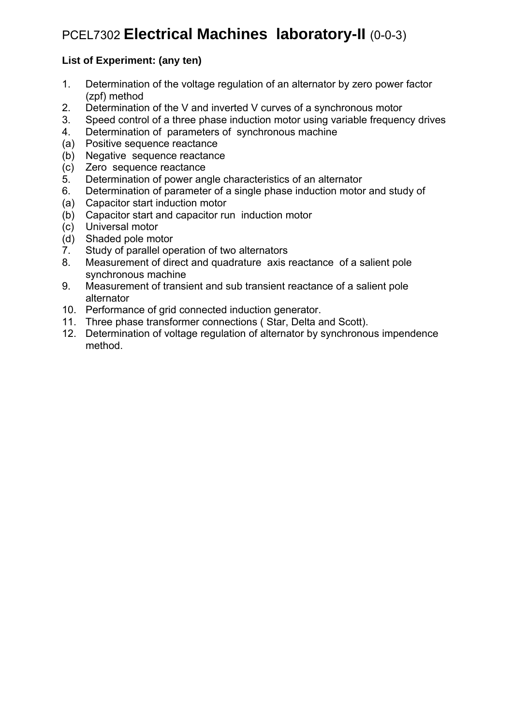# PCEL7302 **Electrical Machines laboratory-II** (0-0-3)

# **List of Experiment: (any ten)**

- 1. Determination of the voltage regulation of an alternator by zero power factor (zpf) method
- 2. Determination of the V and inverted V curves of a synchronous motor
- 3. Speed control of a three phase induction motor using variable frequency drives
- 4. Determination of parameters of synchronous machine
- (a) Positive sequence reactance
- (b) Negative sequence reactance
- (c) Zero sequence reactance
- 5. Determination of power angle characteristics of an alternator
- 6. Determination of parameter of a single phase induction motor and study of
- (a) Capacitor start induction motor
- (b) Capacitor start and capacitor run induction motor
- (c) Universal motor
- (d) Shaded pole motor
- 7. Study of parallel operation of two alternators
- 8. Measurement of direct and quadrature axis reactance of a salient pole synchronous machine
- 9. Measurement of transient and sub transient reactance of a salient pole alternator
- 10. Performance of grid connected induction generator.
- 11. Three phase transformer connections ( Star, Delta and Scott).
- 12. Determination of voltage regulation of alternator by synchronous impendence method.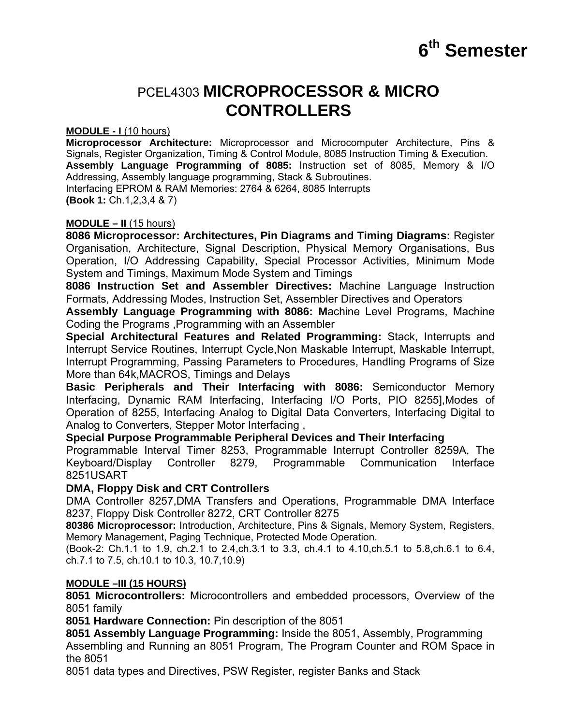# **6th Semester**

# PCEL4303 **MICROPROCESSOR & MICRO CONTROLLERS**

#### **MODULE - I** (10 hours)

**Microprocessor Architecture:** Microprocessor and Microcomputer Architecture, Pins & Signals, Register Organization, Timing & Control Module, 8085 Instruction Timing & Execution. **Assembly Language Programming of 8085:** Instruction set of 8085, Memory & I/O Addressing, Assembly language programming, Stack & Subroutines. Interfacing EPROM & RAM Memories: 2764 & 6264, 8085 Interrupts **(Book 1:** Ch.1,2,3,4 & 7)

### **MODULE – II** (15 hours)

**8086 Microprocessor: Architectures, Pin Diagrams and Timing Diagrams:** Register Organisation, Architecture, Signal Description, Physical Memory Organisations, Bus Operation, I/O Addressing Capability, Special Processor Activities, Minimum Mode System and Timings, Maximum Mode System and Timings

**8086 Instruction Set and Assembler Directives:** Machine Language Instruction Formats, Addressing Modes, Instruction Set, Assembler Directives and Operators

**Assembly Language Programming with 8086: M**achine Level Programs, Machine Coding the Programs ,Programming with an Assembler

**Special Architectural Features and Related Programming:** Stack, Interrupts and Interrupt Service Routines, Interrupt Cycle,Non Maskable Interrupt, Maskable Interrupt, Interrupt Programming, Passing Parameters to Procedures, Handling Programs of Size More than 64k,MACROS, Timings and Delays

**Basic Peripherals and Their Interfacing with 8086:** Semiconductor Memory Interfacing, Dynamic RAM Interfacing, Interfacing I/O Ports, PIO 8255],Modes of Operation of 8255, Interfacing Analog to Digital Data Converters, Interfacing Digital to Analog to Converters, Stepper Motor Interfacing ,

### **Special Purpose Programmable Peripheral Devices and Their Interfacing**

Programmable Interval Timer 8253, Programmable Interrupt Controller 8259A, The Keyboard/Display Controller 8279, Programmable Communication Interface 8251USART

### **DMA, Floppy Disk and CRT Controllers**

DMA Controller 8257,DMA Transfers and Operations, Programmable DMA Interface 8237, Floppy Disk Controller 8272, CRT Controller 8275

**80386 Microprocessor:** Introduction, Architecture, Pins & Signals, Memory System, Registers, Memory Management, Paging Technique, Protected Mode Operation.

(Book-2: Ch.1.1 to 1.9, ch.2.1 to 2.4,ch.3.1 to 3.3, ch.4.1 to 4.10,ch.5.1 to 5.8,ch.6.1 to 6.4, ch.7.1 to 7.5, ch.10.1 to 10.3, 10.7,10.9)

### **MODULE –III (15 HOURS)**

**8051 Microcontrollers:** Microcontrollers and embedded processors, Overview of the 8051 family

**8051 Hardware Connection:** Pin description of the 8051

**8051 Assembly Language Programming:** Inside the 8051, Assembly, Programming Assembling and Running an 8051 Program, The Program Counter and ROM Space in the 8051

8051 data types and Directives, PSW Register, register Banks and Stack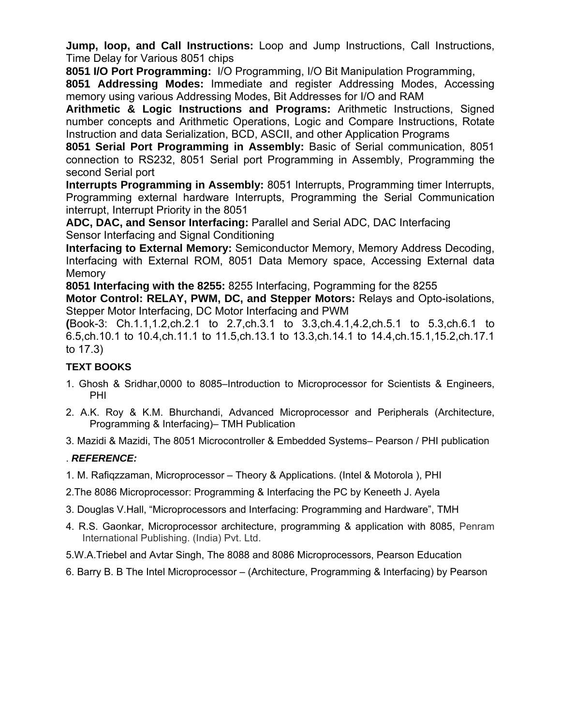**Jump, loop, and Call Instructions:** Loop and Jump Instructions, Call Instructions, Time Delay for Various 8051 chips

**8051 I/O Port Programming:** I/O Programming, I/O Bit Manipulation Programming,

**8051 Addressing Modes:** Immediate and register Addressing Modes, Accessing memory using various Addressing Modes, Bit Addresses for I/O and RAM

**Arithmetic & Logic Instructions and Programs:** Arithmetic Instructions, Signed number concepts and Arithmetic Operations, Logic and Compare Instructions, Rotate Instruction and data Serialization, BCD, ASCII, and other Application Programs

**8051 Serial Port Programming in Assembly:** Basic of Serial communication, 8051 connection to RS232, 8051 Serial port Programming in Assembly, Programming the second Serial port

**Interrupts Programming in Assembly:** 8051 Interrupts, Programming timer Interrupts, Programming external hardware Interrupts, Programming the Serial Communication interrupt, Interrupt Priority in the 8051

**ADC, DAC, and Sensor Interfacing:** Parallel and Serial ADC, DAC Interfacing Sensor Interfacing and Signal Conditioning

**Interfacing to External Memory:** Semiconductor Memory, Memory Address Decoding, Interfacing with External ROM, 8051 Data Memory space, Accessing External data **Memory** 

**8051 Interfacing with the 8255:** 8255 Interfacing, Pogramming for the 8255

**Motor Control: RELAY, PWM, DC, and Stepper Motors:** Relays and Opto-isolations, Stepper Motor Interfacing, DC Motor Interfacing and PWM

**(**Book-3: Ch.1.1,1.2,ch.2.1 to 2.7,ch.3.1 to 3.3,ch.4.1,4.2,ch.5.1 to 5.3,ch.6.1 to 6.5,ch.10.1 to 10.4,ch.11.1 to 11.5,ch.13.1 to 13.3,ch.14.1 to 14.4,ch.15.1,15.2,ch.17.1 to 17.3)

# **TEXT BOOKS**

- 1. Ghosh & Sridhar,0000 to 8085–Introduction to Microprocessor for Scientists & Engineers, PHI
- 2. A.K. Roy & K.M. Bhurchandi, Advanced Microprocessor and Peripherals (Architecture, Programming & Interfacing)– TMH Publication

3. Mazidi & Mazidi, The 8051 Microcontroller & Embedded Systems– Pearson / PHI publication

# . *REFERENCE:*

- 1. M. Rafiqzzaman, Microprocessor Theory & Applications. (Intel & Motorola ), PHI
- 2.The 8086 Microprocessor: Programming & Interfacing the PC by Keneeth J. Ayela
- 3. Douglas V.Hall, "Microprocessors and Interfacing: Programming and Hardware", TMH
- 4. R.S. Gaonkar, Microprocessor architecture, programming & application with 8085, Penram International Publishing. (India) Pvt. Ltd.
- 5.W.A.Triebel and Avtar Singh, The 8088 and 8086 Microprocessors, Pearson Education
- 6. Barry B. B The Intel Microprocessor (Architecture, Programming & Interfacing) by Pearson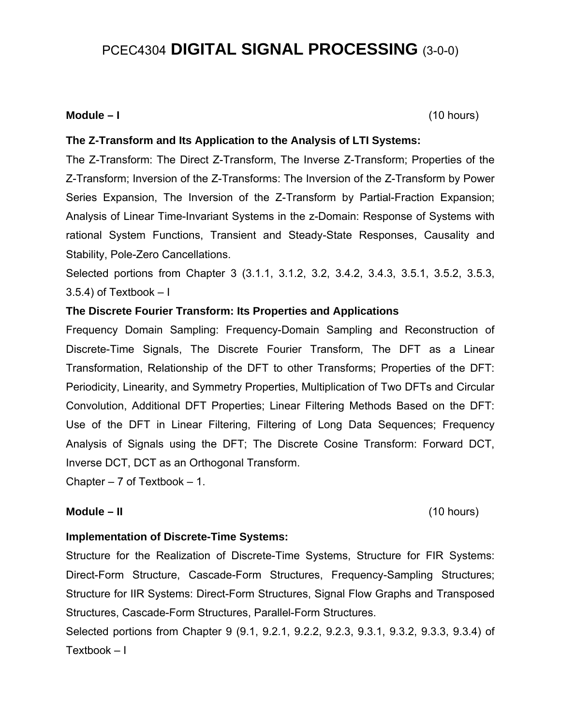# PCEC4304 **DIGITAL SIGNAL PROCESSING** (3-0-0)

### **Module – I** (10 hours)

### **The Z-Transform and Its Application to the Analysis of LTI Systems:**

The Z-Transform: The Direct Z-Transform, The Inverse Z-Transform; Properties of the Z-Transform; Inversion of the Z-Transforms: The Inversion of the Z-Transform by Power Series Expansion, The Inversion of the Z-Transform by Partial-Fraction Expansion; Analysis of Linear Time-Invariant Systems in the z-Domain: Response of Systems with rational System Functions, Transient and Steady-State Responses, Causality and Stability, Pole-Zero Cancellations.

Selected portions from Chapter 3 (3.1.1, 3.1.2, 3.2, 3.4.2, 3.4.3, 3.5.1, 3.5.2, 3.5.3,  $3.5.4$ ) of Textbook  $-1$ 

### **The Discrete Fourier Transform: Its Properties and Applications**

Frequency Domain Sampling: Frequency-Domain Sampling and Reconstruction of Discrete-Time Signals, The Discrete Fourier Transform, The DFT as a Linear Transformation, Relationship of the DFT to other Transforms; Properties of the DFT: Periodicity, Linearity, and Symmetry Properties, Multiplication of Two DFTs and Circular Convolution, Additional DFT Properties; Linear Filtering Methods Based on the DFT: Use of the DFT in Linear Filtering, Filtering of Long Data Sequences; Frequency Analysis of Signals using the DFT; The Discrete Cosine Transform: Forward DCT, Inverse DCT, DCT as an Orthogonal Transform.

Chapter  $-7$  of Textbook  $-1$ .

### **Module – II** (10 hours)

### **Implementation of Discrete-Time Systems:**

Structure for the Realization of Discrete-Time Systems, Structure for FIR Systems: Direct-Form Structure, Cascade-Form Structures, Frequency-Sampling Structures; Structure for IIR Systems: Direct-Form Structures, Signal Flow Graphs and Transposed Structures, Cascade-Form Structures, Parallel-Form Structures.

Selected portions from Chapter 9 (9.1, 9.2.1, 9.2.2, 9.2.3, 9.3.1, 9.3.2, 9.3.3, 9.3.4) of Textbook – I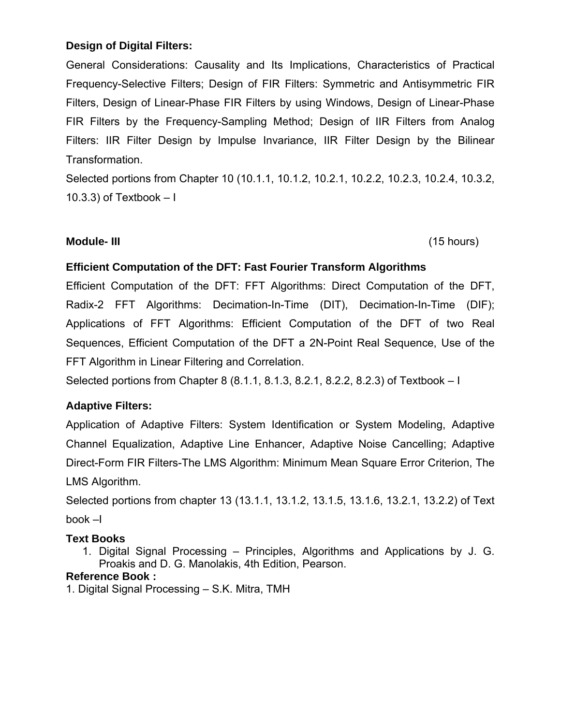# **Design of Digital Filters:**

General Considerations: Causality and Its Implications, Characteristics of Practical Frequency-Selective Filters; Design of FIR Filters: Symmetric and Antisymmetric FIR Filters, Design of Linear-Phase FIR Filters by using Windows, Design of Linear-Phase FIR Filters by the Frequency-Sampling Method; Design of IIR Filters from Analog Filters: IIR Filter Design by Impulse Invariance, IIR Filter Design by the Bilinear Transformation.

Selected portions from Chapter 10 (10.1.1, 10.1.2, 10.2.1, 10.2.2, 10.2.3, 10.2.4, 10.3.2, 10.3.3) of Textbook  $-1$ 

# **Module- III** (15 hours)

# **Efficient Computation of the DFT: Fast Fourier Transform Algorithms**

Efficient Computation of the DFT: FFT Algorithms: Direct Computation of the DFT, Radix-2 FFT Algorithms: Decimation-In-Time (DIT), Decimation-In-Time (DIF); Applications of FFT Algorithms: Efficient Computation of the DFT of two Real Sequences, Efficient Computation of the DFT a 2N-Point Real Sequence, Use of the FFT Algorithm in Linear Filtering and Correlation.

Selected portions from Chapter 8 (8.1.1, 8.1.3, 8.2.1, 8.2.2, 8.2.3) of Textbook – I

# **Adaptive Filters:**

Application of Adaptive Filters: System Identification or System Modeling, Adaptive Channel Equalization, Adaptive Line Enhancer, Adaptive Noise Cancelling; Adaptive Direct-Form FIR Filters-The LMS Algorithm: Minimum Mean Square Error Criterion, The LMS Algorithm.

Selected portions from chapter 13 (13.1.1, 13.1.2, 13.1.5, 13.1.6, 13.2.1, 13.2.2) of Text book –I

# **Text Books**

1. Digital Signal Processing – Principles, Algorithms and Applications by J. G. Proakis and D. G. Manolakis, 4th Edition, Pearson.

# **Reference Book :**

1. Digital Signal Processing – S.K. Mitra, TMH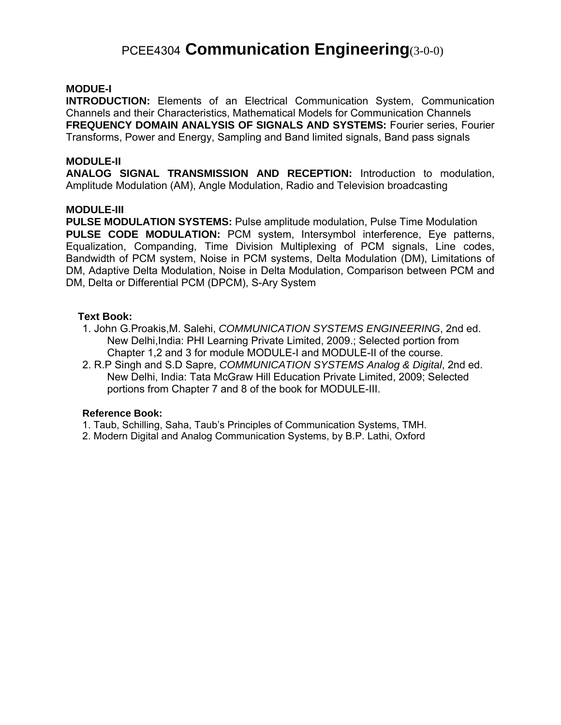# PCEE4304 **Communication Engineering**(3-0-0)

### **MODUE-I**

**INTRODUCTION:** Elements of an Electrical Communication System, Communication Channels and their Characteristics, Mathematical Models for Communication Channels **FREQUENCY DOMAIN ANALYSIS OF SIGNALS AND SYSTEMS:** Fourier series, Fourier Transforms, Power and Energy, Sampling and Band limited signals, Band pass signals

#### **MODULE-II**

**ANALOG SIGNAL TRANSMISSION AND RECEPTION:** Introduction to modulation, Amplitude Modulation (AM), Angle Modulation, Radio and Television broadcasting

#### **MODULE-III**

**PULSE MODULATION SYSTEMS:** Pulse amplitude modulation, Pulse Time Modulation **PULSE CODE MODULATION:** PCM system, Intersymbol interference, Eye patterns, Equalization, Companding, Time Division Multiplexing of PCM signals, Line codes, Bandwidth of PCM system, Noise in PCM systems, Delta Modulation (DM), Limitations of DM, Adaptive Delta Modulation, Noise in Delta Modulation, Comparison between PCM and DM, Delta or Differential PCM (DPCM), S-Ary System

### **Text Book:**

- 1. John G.Proakis,M. Salehi, *COMMUNICATION SYSTEMS ENGINEERING*, 2nd ed. New Delhi,India: PHI Learning Private Limited, 2009.; Selected portion from Chapter 1,2 and 3 for module MODULE-I and MODULE-II of the course.
- 2. R.P Singh and S.D Sapre, *COMMUNICATION SYSTEMS Analog & Digital*, 2nd ed. New Delhi, India: Tata McGraw Hill Education Private Limited, 2009; Selected portions from Chapter 7 and 8 of the book for MODULE-III.

#### **Reference Book:**

- 1. Taub, Schilling, Saha, Taub's Principles of Communication Systems, TMH.
- 2. Modern Digital and Analog Communication Systems, by B.P. Lathi, Oxford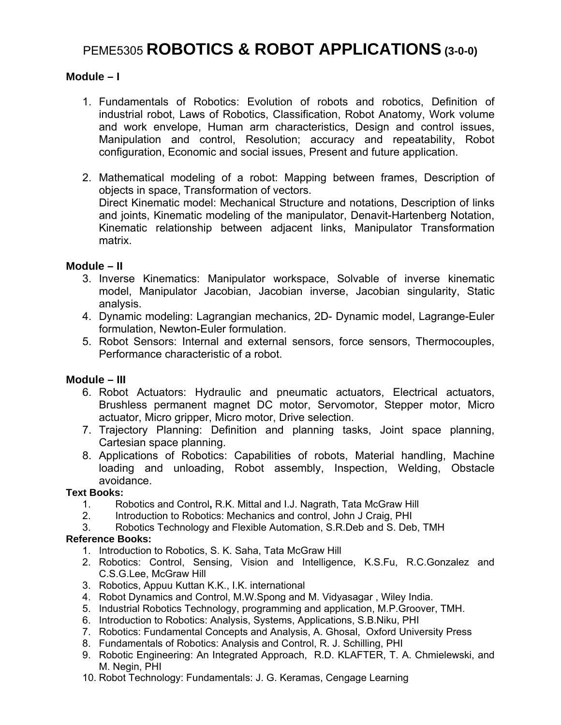# PEME5305 **ROBOTICS & ROBOT APPLICATIONS (3-0-0)**

### **Module – I**

- 1. Fundamentals of Robotics: Evolution of robots and robotics, Definition of industrial robot, Laws of Robotics, Classification, Robot Anatomy, Work volume and work envelope, Human arm characteristics, Design and control issues, Manipulation and control, Resolution; accuracy and repeatability, Robot configuration, Economic and social issues, Present and future application.
- 2. Mathematical modeling of a robot: Mapping between frames, Description of objects in space, Transformation of vectors. Direct Kinematic model: Mechanical Structure and notations, Description of links and joints, Kinematic modeling of the manipulator, Denavit-Hartenberg Notation, Kinematic relationship between adjacent links, Manipulator Transformation matrix.

### **Module – II**

- 3. Inverse Kinematics: Manipulator workspace, Solvable of inverse kinematic model, Manipulator Jacobian, Jacobian inverse, Jacobian singularity, Static analysis.
- 4. Dynamic modeling: Lagrangian mechanics, 2D- Dynamic model, Lagrange-Euler formulation, Newton-Euler formulation.
- 5. Robot Sensors: Internal and external sensors, force sensors, Thermocouples, Performance characteristic of a robot.

### **Module – III**

- 6. Robot Actuators: Hydraulic and pneumatic actuators, Electrical actuators, Brushless permanent magnet DC motor, Servomotor, Stepper motor, Micro actuator, Micro gripper, Micro motor, Drive selection.
- 7. Trajectory Planning: Definition and planning tasks, Joint space planning, Cartesian space planning.
- 8. Applications of Robotics: Capabilities of robots, Material handling, Machine loading and unloading, Robot assembly, Inspection, Welding, Obstacle avoidance.

#### **Text Books:**

- 1. Robotics and Control**,** R.K. Mittal and I.J. Nagrath, Tata McGraw Hill
- 2. Introduction to Robotics: Mechanics and control, John J Craig, PHI<br>3. Robotics Technology and Flexible Automation, S.R. Deb and S. Deb
- Robotics Technology and Flexible Automation, S.R.Deb and S. Deb, TMH

### **Reference Books:**

- 1. Introduction to Robotics, S. K. Saha, Tata McGraw Hill
- 2. Robotics: Control, Sensing, Vision and Intelligence, K.S.Fu, R.C.Gonzalez and C.S.G.Lee, McGraw Hill
- 3. Robotics, Appuu Kuttan K.K., I.K. international
- 4. Robot Dynamics and Control, M.W.Spong and M. Vidyasagar , Wiley India.
- 5. Industrial Robotics Technology, programming and application, M.P.Groover, TMH.
- 6. Introduction to Robotics: Analysis, Systems, Applications, S.B.Niku, PHI
- 7. Robotics: Fundamental Concepts and Analysis, A. Ghosal, Oxford University Press
- 8. Fundamentals of Robotics: Analysis and Control, R. J. Schilling, PHI
- 9. Robotic Engineering: An Integrated Approach, R.D. KLAFTER, T. A. Chmielewski, and M. Negin, PHI
- 10. Robot Technology: Fundamentals: J. G. Keramas, Cengage Learning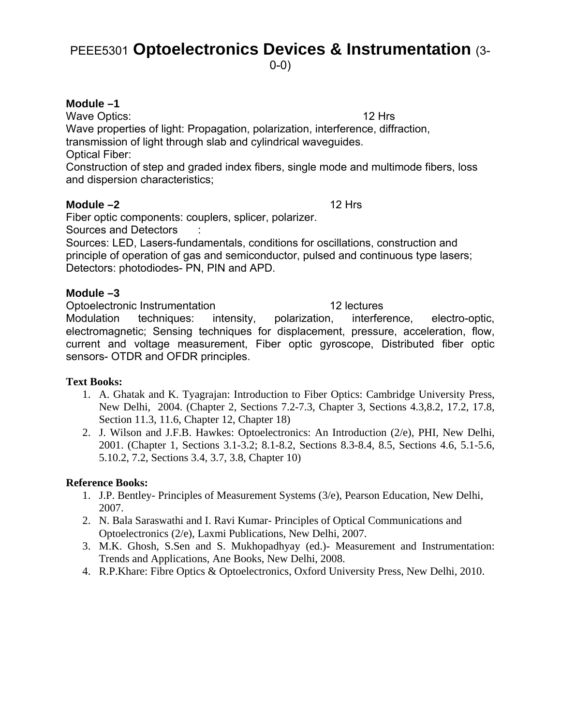# PEEE5301 **Optoelectronics Devices & Instrumentation** (3-

0-0)

# **Module –1**

Wave Optics: 12 Hrs Wave properties of light: Propagation, polarization, interference, diffraction, transmission of light through slab and cylindrical waveguides. Optical Fiber:

Construction of step and graded index fibers, single mode and multimode fibers, loss and dispersion characteristics;

### **Module –2** 12 Hrs

Fiber optic components: couplers, splicer, polarizer.

Sources and Detectors :

Sources: LED, Lasers-fundamentals, conditions for oscillations, construction and principle of operation of gas and semiconductor, pulsed and continuous type lasers; Detectors: photodiodes- PN, PIN and APD.

# **Module –3**

Optoelectronic Instrumentation 12 lectures Modulation techniques: intensity, polarization, interference, electro-optic, electromagnetic; Sensing techniques for displacement, pressure, acceleration, flow, current and voltage measurement, Fiber optic gyroscope, Distributed fiber optic sensors- OTDR and OFDR principles.

# **Text Books:**

- 1. A. Ghatak and K. Tyagrajan: Introduction to Fiber Optics: Cambridge University Press, New Delhi, 2004. (Chapter 2, Sections 7.2-7.3, Chapter 3, Sections 4.3,8.2, 17.2, 17.8, Section 11.3, 11.6, Chapter 12, Chapter 18)
- 2. J. Wilson and J.F.B. Hawkes: Optoelectronics: An Introduction (2/e), PHI, New Delhi, 2001. (Chapter 1, Sections 3.1-3.2; 8.1-8.2, Sections 8.3-8.4, 8.5, Sections 4.6, 5.1-5.6, 5.10.2, 7.2, Sections 3.4, 3.7, 3.8, Chapter 10)

# **Reference Books:**

- 1. J.P. Bentley- Principles of Measurement Systems (3/e), Pearson Education, New Delhi, 2007.
- 2. N. Bala Saraswathi and I. Ravi Kumar- Principles of Optical Communications and Optoelectronics (2/e), Laxmi Publications, New Delhi, 2007.
- 3. M.K. Ghosh, S.Sen and S. Mukhopadhyay (ed.)- Measurement and Instrumentation: Trends and Applications, Ane Books, New Delhi, 2008.
- 4. R.P.Khare: Fibre Optics & Optoelectronics, Oxford University Press, New Delhi, 2010.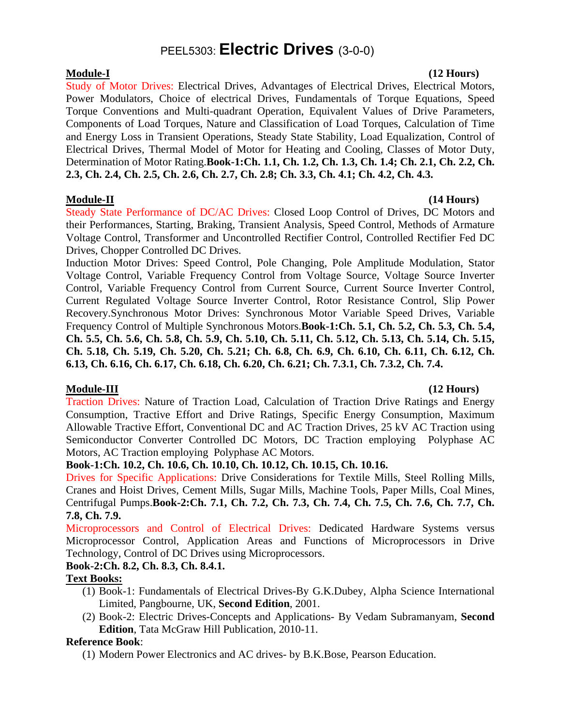# PEEL5303: **Electric Drives** (3-0-0)

**Module-I (12 Hours)**  Study of Motor Drives: Electrical Drives, Advantages of Electrical Drives, Electrical Motors, Power Modulators, Choice of electrical Drives, Fundamentals of Torque Equations, Speed Torque Conventions and Multi-quadrant Operation, Equivalent Values of Drive Parameters, Components of Load Torques, Nature and Classification of Load Torques, Calculation of Time and Energy Loss in Transient Operations, Steady State Stability, Load Equalization, Control of Electrical Drives, Thermal Model of Motor for Heating and Cooling, Classes of Motor Duty, Determination of Motor Rating.**Book-1:Ch. 1.1, Ch. 1.2, Ch. 1.3, Ch. 1.4; Ch. 2.1, Ch. 2.2, Ch. 2.3, Ch. 2.4, Ch. 2.5, Ch. 2.6, Ch. 2.7, Ch. 2.8; Ch. 3.3, Ch. 4.1; Ch. 4.2, Ch. 4.3.** 

Steady State Performance of DC/AC Drives: Closed Loop Control of Drives, DC Motors and their Performances, Starting, Braking, Transient Analysis, Speed Control, Methods of Armature Voltage Control, Transformer and Uncontrolled Rectifier Control, Controlled Rectifier Fed DC Drives, Chopper Controlled DC Drives.

Induction Motor Drives: Speed Control, Pole Changing, Pole Amplitude Modulation, Stator Voltage Control, Variable Frequency Control from Voltage Source, Voltage Source Inverter Control, Variable Frequency Control from Current Source, Current Source Inverter Control, Current Regulated Voltage Source Inverter Control, Rotor Resistance Control, Slip Power Recovery.Synchronous Motor Drives: Synchronous Motor Variable Speed Drives, Variable Frequency Control of Multiple Synchronous Motors.**Book-1:Ch. 5.1, Ch. 5.2, Ch. 5.3, Ch. 5.4, Ch. 5.5, Ch. 5.6, Ch. 5.8, Ch. 5.9, Ch. 5.10, Ch. 5.11, Ch. 5.12, Ch. 5.13, Ch. 5.14, Ch. 5.15, Ch. 5.18, Ch. 5.19, Ch. 5.20, Ch. 5.21; Ch. 6.8, Ch. 6.9, Ch. 6.10, Ch. 6.11, Ch. 6.12, Ch. 6.13, Ch. 6.16, Ch. 6.17, Ch. 6.18, Ch. 6.20, Ch. 6.21; Ch. 7.3.1, Ch. 7.3.2, Ch. 7.4.** 

# **Module-III (12 Hours)**

Traction Drives: Nature of Traction Load, Calculation of Traction Drive Ratings and Energy Consumption, Tractive Effort and Drive Ratings, Specific Energy Consumption, Maximum Allowable Tractive Effort, Conventional DC and AC Traction Drives, 25 kV AC Traction using Semiconductor Converter Controlled DC Motors, DC Traction employing Polyphase AC Motors, AC Traction employing Polyphase AC Motors.

### **Book-1:Ch. 10.2, Ch. 10.6, Ch. 10.10, Ch. 10.12, Ch. 10.15, Ch. 10.16.**

Drives for Specific Applications: Drive Considerations for Textile Mills, Steel Rolling Mills, Cranes and Hoist Drives, Cement Mills, Sugar Mills, Machine Tools, Paper Mills, Coal Mines, Centrifugal Pumps.**Book-2:Ch. 7.1, Ch. 7.2, Ch. 7.3, Ch. 7.4, Ch. 7.5, Ch. 7.6, Ch. 7.7, Ch. 7.8, Ch. 7.9.** 

Microprocessors and Control of Electrical Drives: Dedicated Hardware Systems versus Microprocessor Control, Application Areas and Functions of Microprocessors in Drive Technology, Control of DC Drives using Microprocessors.

# **Book-2:Ch. 8.2, Ch. 8.3, Ch. 8.4.1.**

# **Text Books:**

- (1) Book-1: Fundamentals of Electrical Drives-By G.K.Dubey, Alpha Science International Limited, Pangbourne, UK, **Second Edition**, 2001.
- (2) Book-2: Electric Drives-Concepts and Applications- By Vedam Subramanyam, **Second Edition**, Tata McGraw Hill Publication, 2010-11.

# **Reference Book**:

(1) Modern Power Electronics and AC drives- by B.K.Bose, Pearson Education.

# **Module-II (14 Hours)**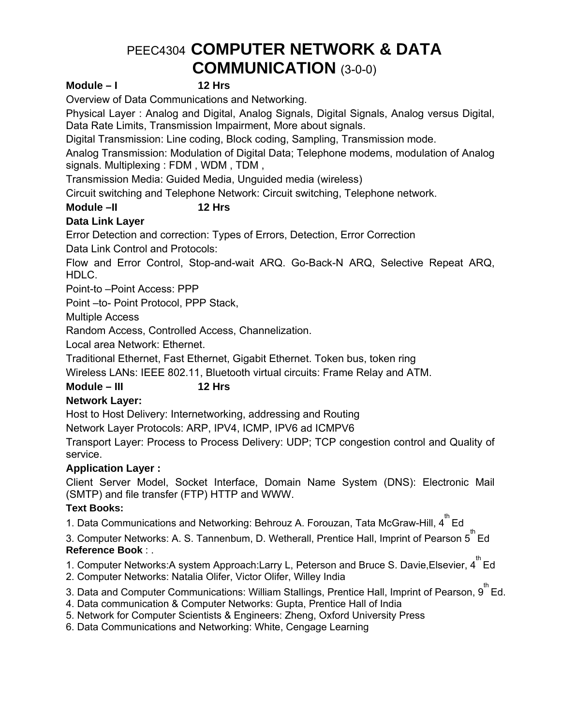# PEEC4304 **COMPUTER NETWORK & DATA COMMUNICATION** (3-0-0)

### **Module – I 12 Hrs**

Overview of Data Communications and Networking.

Physical Layer : Analog and Digital, Analog Signals, Digital Signals, Analog versus Digital, Data Rate Limits, Transmission Impairment, More about signals.

Digital Transmission: Line coding, Block coding, Sampling, Transmission mode.

Analog Transmission: Modulation of Digital Data; Telephone modems, modulation of Analog signals. Multiplexing : FDM , WDM , TDM ,

Transmission Media: Guided Media, Unguided media (wireless)

Circuit switching and Telephone Network: Circuit switching, Telephone network.

# Module –II 12 Hrs

# **Data Link Layer**

Error Detection and correction: Types of Errors, Detection, Error Correction

Data Link Control and Protocols:

Flow and Error Control, Stop-and-wait ARQ. Go-Back-N ARQ, Selective Repeat ARQ, HDLC.

Point-to –Point Access: PPP

Point –to- Point Protocol, PPP Stack,

Multiple Access

Random Access, Controlled Access, Channelization.

Local area Network: Ethernet.

Traditional Ethernet, Fast Ethernet, Gigabit Ethernet. Token bus, token ring

Wireless LANs: IEEE 802.11, Bluetooth virtual circuits: Frame Relay and ATM.

# **Module – III 12 Hrs**

# **Network Layer:**

Host to Host Delivery: Internetworking, addressing and Routing

Network Layer Protocols: ARP, IPV4, ICMP, IPV6 ad ICMPV6

Transport Layer: Process to Process Delivery: UDP; TCP congestion control and Quality of service.

# **Application Layer :**

Client Server Model, Socket Interface, Domain Name System (DNS): Electronic Mail (SMTP) and file transfer (FTP) HTTP and WWW.

# **Text Books:**

1. Data Communications and Networking: Behrouz A. Forouzan, Tata McGraw-Hill,  $4^{^{\text{th}}}$  Ed

3. Computer Networks: A. S. Tannenbum, D. Wetherall, Prentice Hall, Imprint of Pearson  $\overline{5}^{\text{th}}$  Ed **Reference Book** : .

1. Computer Networks:A system Approach:Larry L, Peterson and Bruce S. Davie, Elsevier,  $4^{th}$  Ed

2. Computer Networks: Natalia Olifer, Victor Olifer, Willey India

3. Data and Computer Communications: William Stallings, Prentice Hall, Imprint of Pearson, 9<sup>th</sup> Ed.

4. Data communication & Computer Networks: Gupta, Prentice Hall of India

5. Network for Computer Scientists & Engineers: Zheng, Oxford University Press

6. Data Communications and Networking: White, Cengage Learning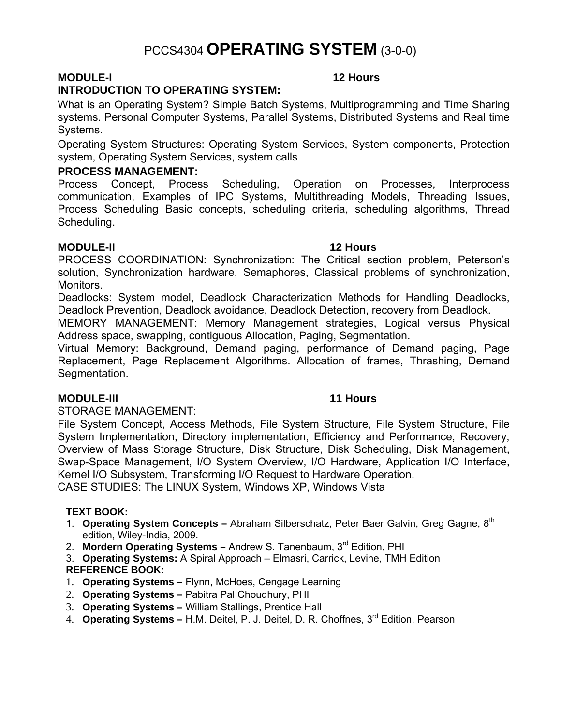# PCCS4304 **OPERATING SYSTEM** (3-0-0)

# **MODULE-I 12 Hours**

# **INTRODUCTION TO OPERATING SYSTEM:**

What is an Operating System? Simple Batch Systems, Multiprogramming and Time Sharing systems. Personal Computer Systems, Parallel Systems, Distributed Systems and Real time Systems.

Operating System Structures: Operating System Services, System components, Protection system, Operating System Services, system calls

# **PROCESS MANAGEMENT:**

Process Concept, Process Scheduling, Operation on Processes, Interprocess communication, Examples of IPC Systems, Multithreading Models, Threading Issues, Process Scheduling Basic concepts, scheduling criteria, scheduling algorithms, Thread Scheduling.

# **MODULE-II** 12 Hours

PROCESS COORDINATION: Synchronization: The Critical section problem, Peterson's solution, Synchronization hardware, Semaphores, Classical problems of synchronization, Monitors.

Deadlocks: System model, Deadlock Characterization Methods for Handling Deadlocks, Deadlock Prevention, Deadlock avoidance, Deadlock Detection, recovery from Deadlock.

MEMORY MANAGEMENT: Memory Management strategies, Logical versus Physical Address space, swapping, contiguous Allocation, Paging, Segmentation.

Virtual Memory: Background, Demand paging, performance of Demand paging, Page Replacement, Page Replacement Algorithms. Allocation of frames, Thrashing, Demand Segmentation.

# **MODULE-III** 11 Hours

STORAGE MANAGEMENT:

File System Concept, Access Methods, File System Structure, File System Structure, File System Implementation, Directory implementation, Efficiency and Performance, Recovery, Overview of Mass Storage Structure, Disk Structure, Disk Scheduling, Disk Management, Swap-Space Management, I/O System Overview, I/O Hardware, Application I/O Interface, Kernel I/O Subsystem, Transforming I/O Request to Hardware Operation.

CASE STUDIES: The LINUX System, Windows XP, Windows Vista

# **TEXT BOOK:**

- 1. **Operating System Concepts** Abraham Silberschatz, Peter Baer Galvin, Greg Gagne, 8th edition, Wiley-India, 2009.
- 2. **Mordern Operating Systems –** Andrew S. Tanenbaum, 3rd Edition, PHI
- 3. **Operating Systems:** A Spiral Approach Elmasri, Carrick, Levine, TMH Edition **REFERENCE BOOK:**

# 1. **Operating Systems –** Flynn, McHoes, Cengage Learning

- 2. **Operating Systems** Pabitra Pal Choudhury, PHI
- 3. **Operating Systems** William Stallings, Prentice Hall
- 4. **Operating Systems** H.M. Deitel, P. J. Deitel, D. R. Choffnes, 3rd Edition, Pearson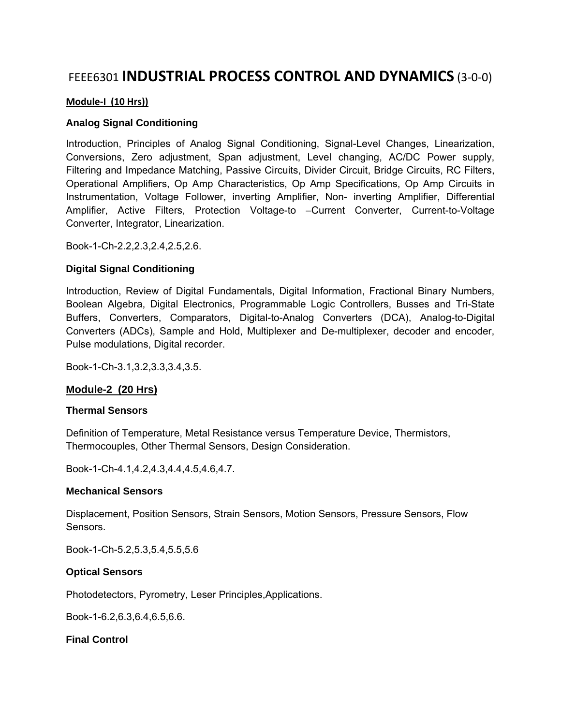# FEEE6301 **INDUSTRIAL PROCESS CONTROL AND DYNAMICS** (3‐0‐0)

#### **Module‐I (10 Hrs))**

#### **Analog Signal Conditioning**

Introduction, Principles of Analog Signal Conditioning, Signal-Level Changes, Linearization, Conversions, Zero adjustment, Span adjustment, Level changing, AC/DC Power supply, Filtering and Impedance Matching, Passive Circuits, Divider Circuit, Bridge Circuits, RC Filters, Operational Amplifiers, Op Amp Characteristics, Op Amp Specifications, Op Amp Circuits in Instrumentation, Voltage Follower, inverting Amplifier, Non- inverting Amplifier, Differential Amplifier, Active Filters, Protection Voltage-to –Current Converter, Current-to-Voltage Converter, Integrator, Linearization.

Book-1-Ch-2.2,2.3,2.4,2.5,2.6.

#### **Digital Signal Conditioning**

Introduction, Review of Digital Fundamentals, Digital Information, Fractional Binary Numbers, Boolean Algebra, Digital Electronics, Programmable Logic Controllers, Busses and Tri-State Buffers, Converters, Comparators, Digital-to-Analog Converters (DCA), Analog-to-Digital Converters (ADCs), Sample and Hold, Multiplexer and De-multiplexer, decoder and encoder, Pulse modulations, Digital recorder.

Book-1-Ch-3.1,3.2,3.3,3.4,3.5.

### **Module-2 (20 Hrs)**

#### **Thermal Sensors**

Definition of Temperature, Metal Resistance versus Temperature Device, Thermistors, Thermocouples, Other Thermal Sensors, Design Consideration.

Book-1-Ch-4.1,4.2,4.3,4.4,4.5,4.6,4.7.

#### **Mechanical Sensors**

Displacement, Position Sensors, Strain Sensors, Motion Sensors, Pressure Sensors, Flow Sensors.

Book-1-Ch-5.2,5.3,5.4,5.5,5.6

#### **Optical Sensors**

Photodetectors, Pyrometry, Leser Principles,Applications.

Book-1-6.2,6.3,6.4,6.5,6.6.

#### **Final Control**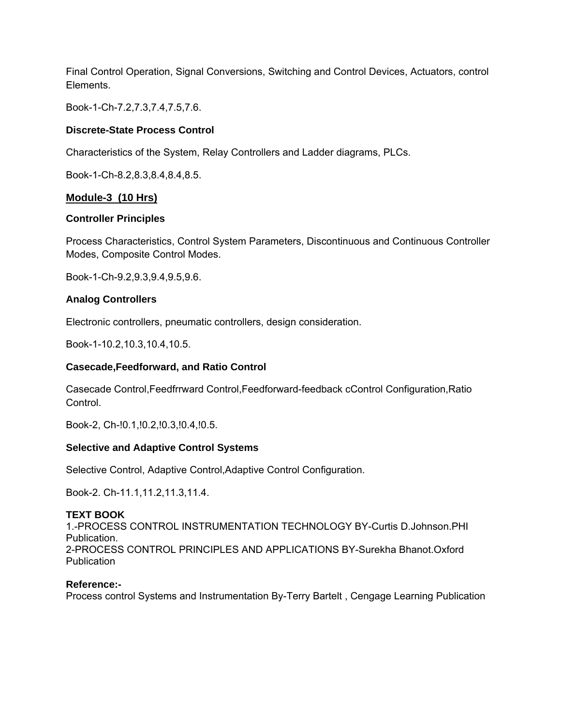Final Control Operation, Signal Conversions, Switching and Control Devices, Actuators, control Elements.

Book-1-Ch-7.2,7.3,7.4,7.5,7.6.

### **Discrete-State Process Control**

Characteristics of the System, Relay Controllers and Ladder diagrams, PLCs.

Book-1-Ch-8.2,8.3,8.4,8.4,8.5.

### **Module-3 (10 Hrs)**

### **Controller Principles**

Process Characteristics, Control System Parameters, Discontinuous and Continuous Controller Modes, Composite Control Modes.

Book-1-Ch-9.2,9.3,9.4,9.5,9.6.

### **Analog Controllers**

Electronic controllers, pneumatic controllers, design consideration.

Book-1-10.2,10.3,10.4,10.5.

### **Casecade,Feedforward, and Ratio Control**

Casecade Control,Feedfrrward Control,Feedforward-feedback cControl Configuration,Ratio Control.

Book-2, Ch-!0.1,!0.2,!0.3,!0.4,!0.5.

### **Selective and Adaptive Control Systems**

Selective Control, Adaptive Control,Adaptive Control Configuration.

Book-2. Ch-11.1,11.2,11.3,11.4.

#### **TEXT BOOK**

1.-PROCESS CONTROL INSTRUMENTATION TECHNOLOGY BY-Curtis D.Johnson.PHI Publication. 2-PROCESS CONTROL PRINCIPLES AND APPLICATIONS BY-Surekha Bhanot.Oxford **Publication** 

#### **Reference:-**

Process control Systems and Instrumentation By-Terry Bartelt , Cengage Learning Publication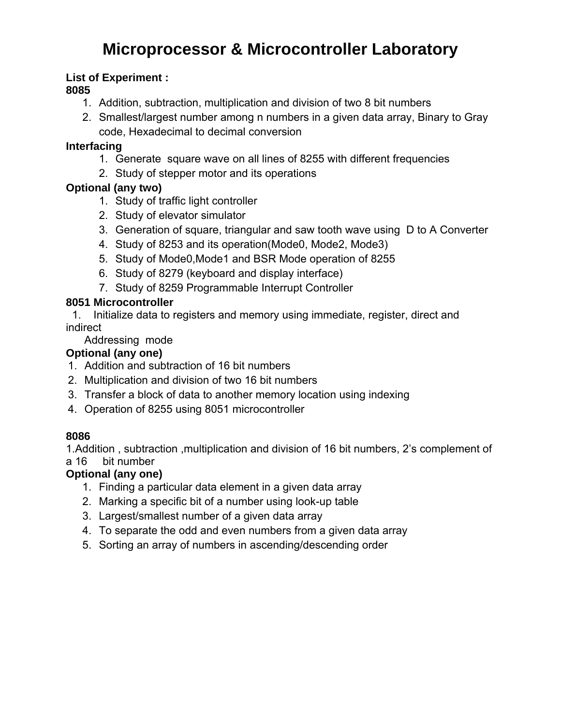# **Microprocessor & Microcontroller Laboratory**

# **List of Experiment :**

# **8085**

- 1. Addition, subtraction, multiplication and division of two 8 bit numbers
- 2. Smallest/largest number among n numbers in a given data array, Binary to Gray code, Hexadecimal to decimal conversion

# **Interfacing**

- 1. Generate square wave on all lines of 8255 with different frequencies
- 2. Study of stepper motor and its operations

# **Optional (any two)**

- 1. Study of traffic light controller
- 2. Study of elevator simulator
- 3. Generation of square, triangular and saw tooth wave using D to A Converter
- 4. Study of 8253 and its operation(Mode0, Mode2, Mode3)
- 5. Study of Mode0,Mode1 and BSR Mode operation of 8255
- 6. Study of 8279 (keyboard and display interface)
- 7. Study of 8259 Programmable Interrupt Controller

# **8051 Microcontroller**

 1. Initialize data to registers and memory using immediate, register, direct and indirect

Addressing mode

# **Optional (any one)**

- 1. Addition and subtraction of 16 bit numbers
- 2. Multiplication and division of two 16 bit numbers
- 3. Transfer a block of data to another memory location using indexing
- 4. Operation of 8255 using 8051 microcontroller

# **8086**

1.Addition , subtraction ,multiplication and division of 16 bit numbers, 2's complement of a 16 bit number

# **Optional (any one)**

- 1. Finding a particular data element in a given data array
- 2. Marking a specific bit of a number using look-up table
- 3. Largest/smallest number of a given data array
- 4. To separate the odd and even numbers from a given data array
- 5. Sorting an array of numbers in ascending/descending order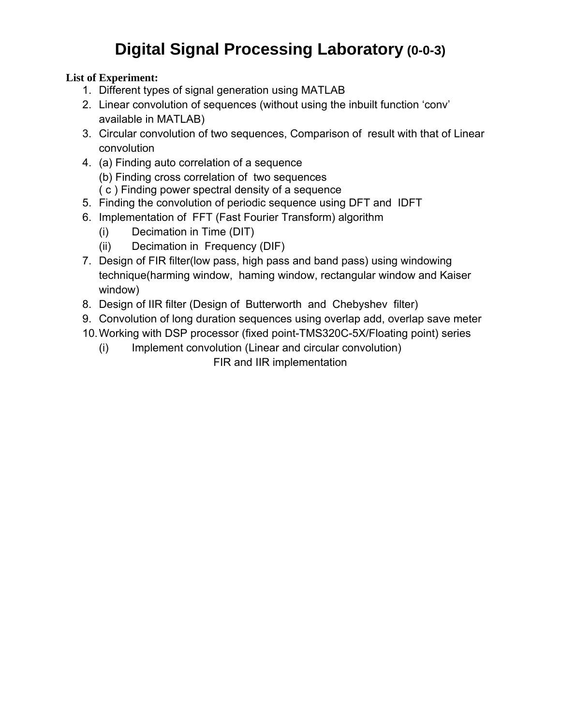# **Digital Signal Processing Laboratory (0-0-3)**

# **List of Experiment:**

- 1. Different types of signal generation using MATLAB
- 2. Linear convolution of sequences (without using the inbuilt function 'conv' available in MATLAB)
- 3. Circular convolution of two sequences, Comparison of result with that of Linear convolution
- 4. (a) Finding auto correlation of a sequence (b) Finding cross correlation of two sequences ( c ) Finding power spectral density of a sequence
- 5. Finding the convolution of periodic sequence using DFT and IDFT
- 6. Implementation of FFT (Fast Fourier Transform) algorithm
	- (i) Decimation in Time (DIT)
	- (ii) Decimation in Frequency (DIF)
- 7. Design of FIR filter(low pass, high pass and band pass) using windowing technique(harming window, haming window, rectangular window and Kaiser window)
- 8. Design of IIR filter (Design of Butterworth and Chebyshev filter)
- 9. Convolution of long duration sequences using overlap add, overlap save meter
- 10. Working with DSP processor (fixed point-TMS320C-5X/Floating point) series
	- (i) Implement convolution (Linear and circular convolution) FIR and IIR implementation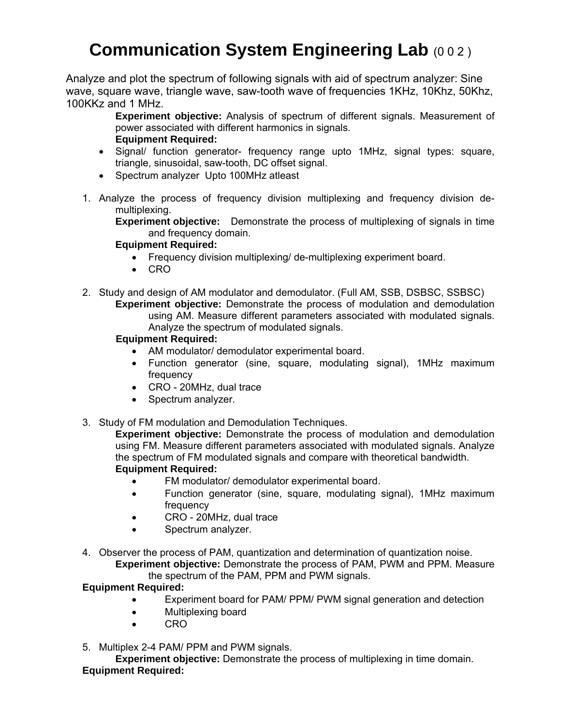# **Communication System Engineering Lab (0 0 2)**

Analyze and plot the spectrum of following signals with aid of spectrum analyzer: Sine wave, square wave, triangle wave, saw-tooth wave of frequencies 1KHz, 10Khz, 50Khz, 100KKz and 1 MHz.

> **Experiment objective:** Analysis of spectrum of different signals. Measurement of power associated with different harmonics in signals. **Equipment Required:**

- Signal/ function generator- frequency range upto 1MHz, signal types: square, triangle, sinusoidal, saw-tooth, DC offset signal.
- Spectrum analyzer Upto 100MHz atleast
- 1. Analyze the process of frequency division multiplexing and frequency division demultiplexing.

**Experiment objective:** Demonstrate the process of multiplexing of signals in time and frequency domain.

### **Equipment Required:**

- Frequency division multiplexing/ de-multiplexing experiment board.
- CRO
- 2. Study and design of AM modulator and demodulator. (Full AM, SSB, DSBSC, SSBSC)

**Experiment objective:** Demonstrate the process of modulation and demodulation using AM. Measure different parameters associated with modulated signals. Analyze the spectrum of modulated signals.

### **Equipment Required:**

- AM modulator/ demodulator experimental board.
- Function generator (sine, square, modulating signal), 1MHz maximum frequency
- CRO 20MHz, dual trace
- Spectrum analyzer.
- 3. Study of FM modulation and Demodulation Techniques.

**Experiment objective:** Demonstrate the process of modulation and demodulation using FM. Measure different parameters associated with modulated signals. Analyze the spectrum of FM modulated signals and compare with theoretical bandwidth. **Equipment Required:** 

- FM modulator/ demodulator experimental board.
- Function generator (sine, square, modulating signal), 1MHz maximum frequency
- CRO 20MHz, dual trace
- Spectrum analyzer.
- 4. Observer the process of PAM, quantization and determination of quantization noise.

**Experiment objective:** Demonstrate the process of PAM, PWM and PPM. Measure the spectrum of the PAM, PPM and PWM signals.

# **Equipment Required:**

- Experiment board for PAM/ PPM/ PWM signal generation and detection
- Multiplexing board
- CRO
- 5. Multiplex 2-4 PAM/ PPM and PWM signals.

**Experiment objective:** Demonstrate the process of multiplexing in time domain. **Equipment Required:**